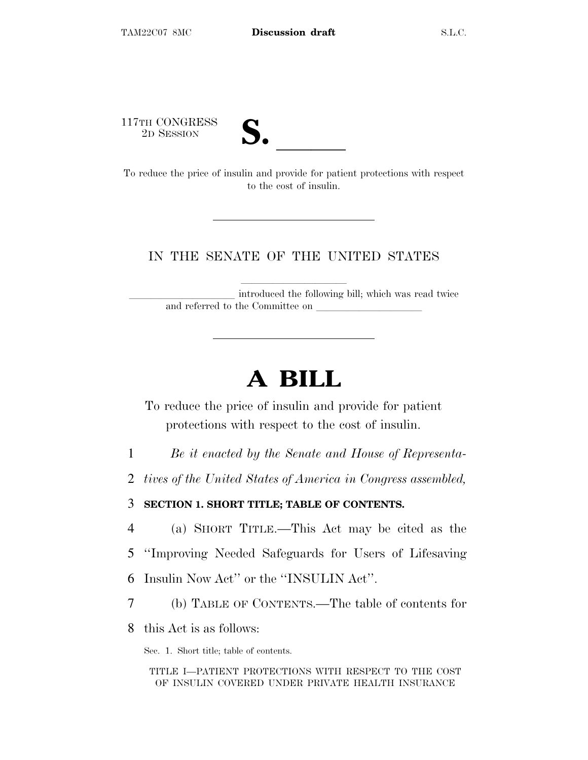117TH CONGRESS



117TH CONGRESS<br>
2D SESSION<br>
To reduce the price of insulin and provide for patient protections with respect to the cost of insulin.

#### IN THE SENATE OF THE UNITED STATES

introduced the following bill; which was read twice and referred to the Committee on

# **A BILL**

To reduce the price of insulin and provide for patient protections with respect to the cost of insulin.

- 1 *Be it enacted by the Senate and House of Representa-*
- 2 *tives of the United States of America in Congress assembled,*

3 **SECTION 1. SHORT TITLE; TABLE OF CONTENTS.**

4 (a) SHORT TITLE.—This Act may be cited as the

- 5 ''Improving Needed Safeguards for Users of Lifesaving
- 6 Insulin Now Act'' or the ''INSULIN Act''.
- 7 (b) TABLE OF CONTENTS.—The table of contents for
- 8 this Act is as follows:

Sec. 1. Short title; table of contents.

TITLE I—PATIENT PROTECTIONS WITH RESPECT TO THE COST OF INSULIN COVERED UNDER PRIVATE HEALTH INSURANCE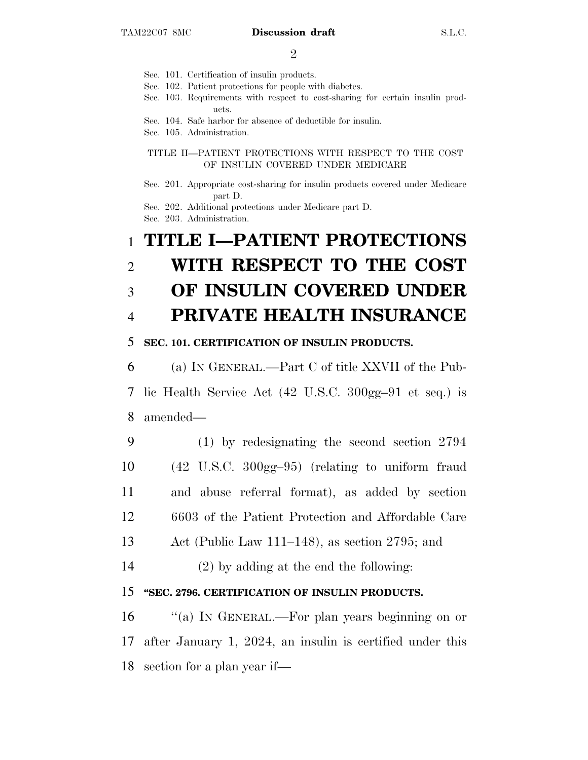$\mathfrak{D}$ 

- Sec. 101. Certification of insulin products.
- Sec. 102. Patient protections for people with diabetes.
- Sec. 103. Requirements with respect to cost-sharing for certain insulin products.
- Sec. 104. Safe harbor for absence of deductible for insulin.
- Sec. 105. Administration.

#### TITLE II—PATIENT PROTECTIONS WITH RESPECT TO THE COST OF INSULIN COVERED UNDER MEDICARE

Sec. 201. Appropriate cost-sharing for insulin products covered under Medicare part D.

Sec. 202. Additional protections under Medicare part D.

Sec. 203. Administration.

## 1 **TITLE I—PATIENT PROTECTIONS** 2 **WITH RESPECT TO THE COST** 3 **OF INSULIN COVERED UNDER** 4 **PRIVATE HEALTH INSURANCE**

#### 5 **SEC. 101. CERTIFICATION OF INSULIN PRODUCTS.**

6 (a) I<sup>N</sup> GENERAL.—Part C of title XXVII of the Pub-7 lic Health Service Act (42 U.S.C. 300gg–91 et seq.) is 8 amended—

- 9 (1) by redesignating the second section 2794 10 (42 U.S.C. 300gg–95) (relating to uniform fraud 11 and abuse referral format), as added by section 12 6603 of the Patient Protection and Affordable Care 13 Act (Public Law 111–148), as section 2795; and
- 14 (2) by adding at the end the following:

#### 15 **''SEC. 2796. CERTIFICATION OF INSULIN PRODUCTS.**

16 "(a) In GENERAL.—For plan years beginning on or 17 after January 1, 2024, an insulin is certified under this 18 section for a plan year if—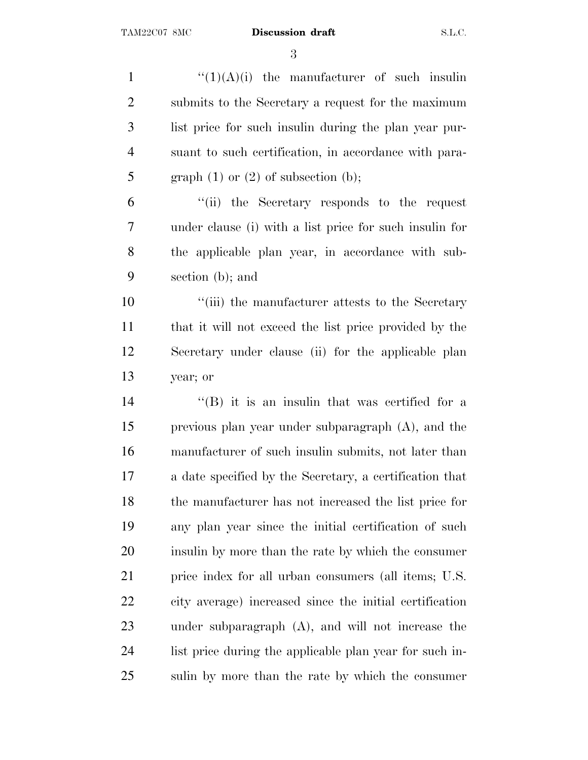$\frac{((1)(A)(i))}{(1)}$  the manufacturer of such insulin submits to the Secretary a request for the maximum list price for such insulin during the plan year pur- suant to such certification, in accordance with para-5 graph  $(1)$  or  $(2)$  of subsection  $(b)$ ; ''(ii) the Secretary responds to the request under clause (i) with a list price for such insulin for the applicable plan year, in accordance with sub- section (b); and  $\frac{1}{10}$  ''(iii) the manufacturer attests to the Secretary that it will not exceed the list price provided by the Secretary under clause (ii) for the applicable plan year; or 14 ''(B) it is an insulin that was certified for a previous plan year under subparagraph (A), and the manufacturer of such insulin submits, not later than a date specified by the Secretary, a certification that the manufacturer has not increased the list price for any plan year since the initial certification of such insulin by more than the rate by which the consumer price index for all urban consumers (all items; U.S. city average) increased since the initial certification under subparagraph (A), and will not increase the list price during the applicable plan year for such in-sulin by more than the rate by which the consumer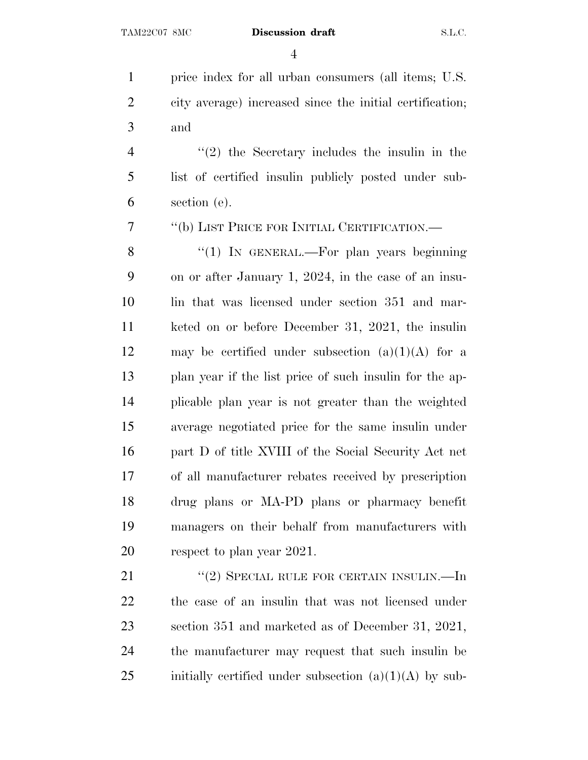price index for all urban consumers (all items; U.S. city average) increased since the initial certification; and

 ''(2) the Secretary includes the insulin in the list of certified insulin publicly posted under sub-section (e).

''(b) LIST PRICE FOR INITIAL CERTIFICATION.—

8 "(1) In GENERAL.—For plan years beginning on or after January 1, 2024, in the case of an insu-10 lin that was licensed under section 351 and mar- keted on or before December 31, 2021, the insulin 12 may be certified under subsection  $(a)(1)(A)$  for a plan year if the list price of such insulin for the ap- plicable plan year is not greater than the weighted average negotiated price for the same insulin under part D of title XVIII of the Social Security Act net of all manufacturer rebates received by prescription drug plans or MA-PD plans or pharmacy benefit managers on their behalf from manufacturers with 20 respect to plan year 2021.

21 "(2) SPECIAL RULE FOR CERTAIN INSULIN.—In the case of an insulin that was not licensed under section 351 and marketed as of December 31, 2021, the manufacturer may request that such insulin be 25 initially certified under subsection  $(a)(1)(A)$  by sub-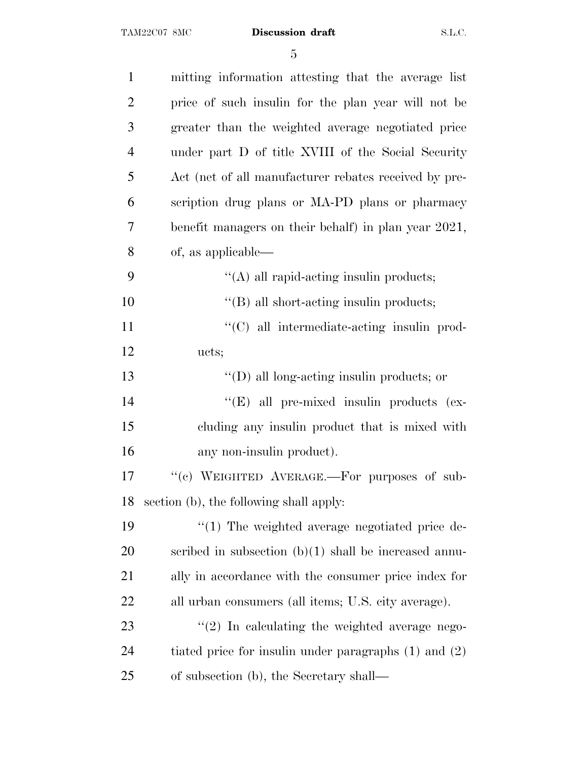| $\mathbf{1}$   | mitting information attesting that the average list       |
|----------------|-----------------------------------------------------------|
| $\overline{2}$ | price of such insulin for the plan year will not be       |
| 3              | greater than the weighted average negotiated price        |
| $\overline{4}$ | under part D of title XVIII of the Social Security        |
| 5              | Act (net of all manufacturer rebates received by pre-     |
| 6              | scription drug plans or MA-PD plans or pharmacy           |
| 7              | benefit managers on their behalf) in plan year 2021,      |
| 8              | of, as applicable—                                        |
| 9              | $\lq\lq$ all rapid-acting insulin products;               |
| 10             | "(B) all short-acting insulin products;                   |
| 11             | "(C) all intermediate-acting insulin prod-                |
| 12             | ucts;                                                     |
| 13             | $\lq\lq$ (D) all long-acting insulin products; or         |
| 14             | "(E) all pre-mixed insulin products (ex-                  |
| 15             | cluding any insulin product that is mixed with            |
| 16             | any non-insulin product).                                 |
| 17             | "(c) WEIGHTED AVERAGE.—For purposes of sub-               |
| 18             | section (b), the following shall apply:                   |
| 19             | $\lq(1)$ The weighted average negotiated price de-        |
| 20             | scribed in subsection $(b)(1)$ shall be increased annu-   |
| 21             | ally in accordance with the consumer price index for      |
| 22             | all urban consumers (all items; U.S. city average).       |
| 23             | $\lq(2)$ In calculating the weighted average nego-        |
| 24             | tiated price for insulin under paragraphs $(1)$ and $(2)$ |
| 25             | of subsection (b), the Secretary shall—                   |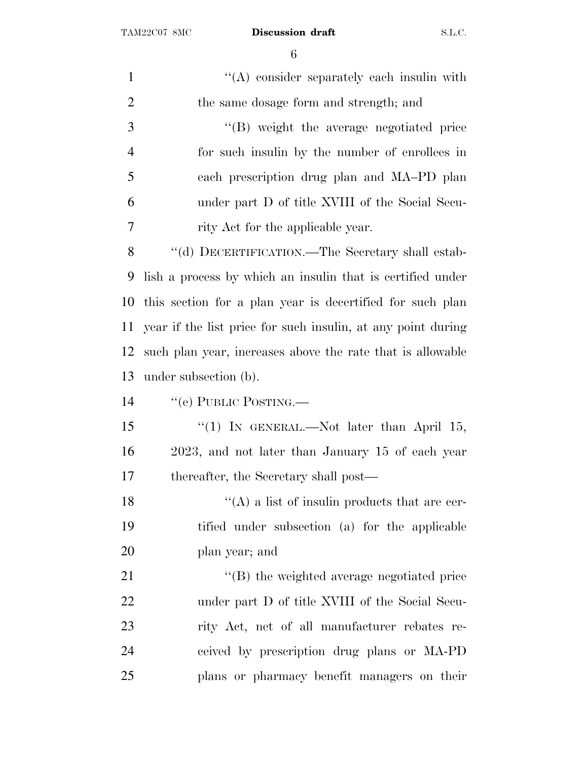| $\mathbf{1}$   | $\lq\lq$ consider separately each insulin with               |
|----------------|--------------------------------------------------------------|
| $\overline{2}$ | the same dosage form and strength; and                       |
| 3              | "(B) weight the average negotiated price                     |
| $\overline{4}$ | for such insulin by the number of enrollees in               |
| 5              | each prescription drug plan and MA-PD plan                   |
| 6              | under part D of title XVIII of the Social Secu-              |
| $\overline{7}$ | rity Act for the applicable year.                            |
| 8              | "(d) DECERTIFICATION.—The Secretary shall estab-             |
| 9              | lish a process by which an insuline that is certified under  |
| 10             | this section for a plan year is decertified for such plan    |
| 11             | year if the list price for such insulin, at any point during |
| 12             | such plan year, increases above the rate that is allowable   |
| 13             | under subsection (b).                                        |
| 14             | "(e) PUBLIC POSTING.—                                        |
| 15             | "(1) IN GENERAL.—Not later than April 15,                    |
| 16             | 2023, and not later than January 15 of each year             |
| 17             | thereafter, the Secretary shall post—                        |
| 18             | $\lq\lq$ a list of insulin products that are cer-            |
| 19             | tified under subsection (a) for the applicable               |
| <b>20</b>      | plan year; and                                               |
| 21             | "(B) the weighted average negotiated price                   |
| 22             | under part D of title XVIII of the Social Secu-              |
| 23             | rity Act, net of all manufacturer rebates re-                |
| 24             | ceived by prescription drug plans or MA-PD                   |
| 25             | plans or pharmacy benefit managers on their                  |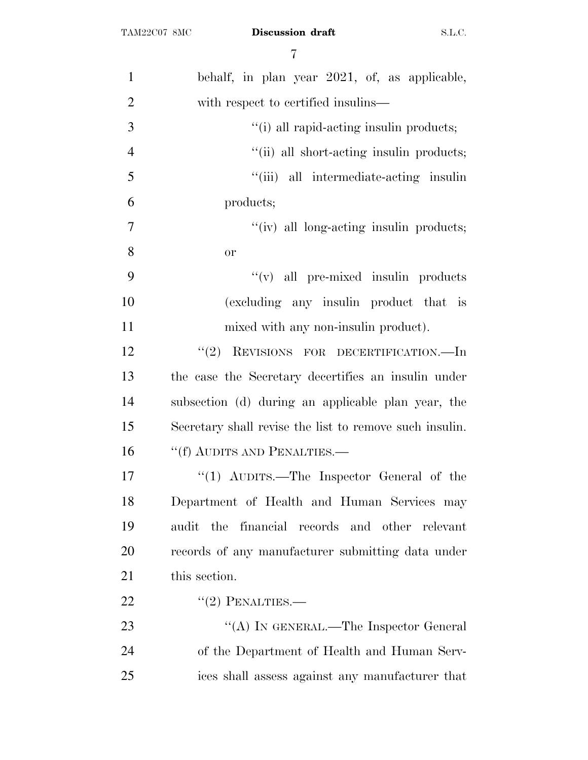| $\mathbf{1}$   | behalf, in plan year 2021, of, as applicable,           |
|----------------|---------------------------------------------------------|
| $\overline{2}$ | with respect to certified insulins—                     |
| 3              | "(i) all rapid-acting insulin products;                 |
| $\overline{4}$ | "(ii) all short-acting insulin products;                |
| 5              | "(iii) all intermediate-acting insulin                  |
| 6              | products;                                               |
| $\tau$         | "(iv) all long-acting insulin products;                 |
| 8              | <b>or</b>                                               |
| 9              | $\lq\lq$ (v) all pre-mixed insulin products             |
| 10             | (excluding any insulin product that is                  |
| 11             | mixed with any non-insulin product).                    |
| 12             | "(2) REVISIONS FOR DECERTIFICATION.—In                  |
| 13             | the case the Secretary decertifies an insulin under     |
| 14             | subsection (d) during an applicable plan year, the      |
| 15             | Secretary shall revise the list to remove such insulin. |
| 16             | "(f) AUDITS AND PENALTIES.—                             |
| 17             | "(1) AUDITS.—The Inspector General of the               |
| 18             | Department of Health and Human Services may             |
| 19             | the financial records and other relevant<br>audit       |
| 20             | records of any manufacturer submitting data under       |
| 21             | this section.                                           |
| 22             | $"(2)$ PENALTIES.—                                      |
| 23             | "(A) IN GENERAL.—The Inspector General                  |
| 24             | of the Department of Health and Human Serv-             |
| 25             | ices shall assess against any manufacturer that         |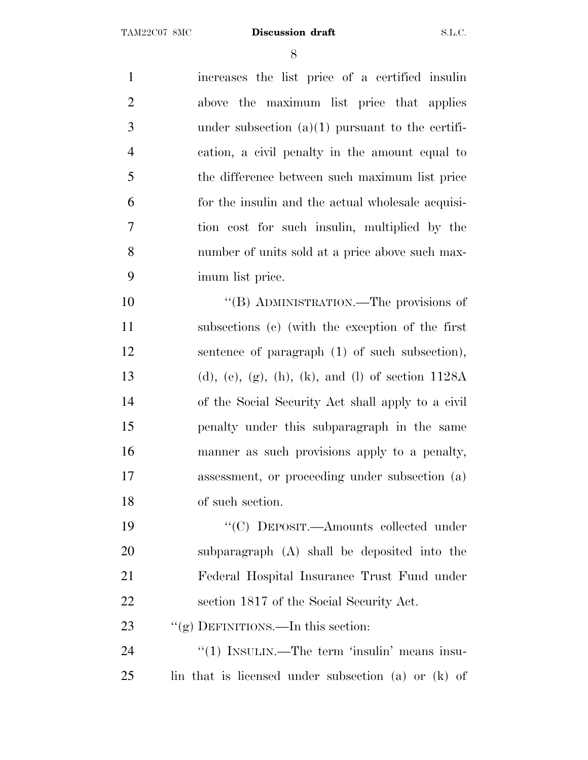increases the list price of a certified insulin above the maximum list price that applies under subsection (a)(1) pursuant to the certifi- cation, a civil penalty in the amount equal to the difference between such maximum list price for the insulin and the actual wholesale acquisi- tion cost for such insulin, multiplied by the number of units sold at a price above such max- imum list price. ''(B) ADMINISTRATION.—The provisions of subsections (c) (with the exception of the first (d), (e), (g), (h), (k), and (l) of section 1128A of the Social Security Act shall apply to a civil

 sentence of paragraph (1) of such subsection), penalty under this subparagraph in the same manner as such provisions apply to a penalty, assessment, or proceeding under subsection (a) of such section.

 ''(C) DEPOSIT.—Amounts collected under subparagraph (A) shall be deposited into the Federal Hospital Insurance Trust Fund under section 1817 of the Social Security Act.

23 ""(g) DEFINITIONS.—In this section:

24 "(1) INSULIN.—The term 'insulin' means insu-lin that is licensed under subsection (a) or (k) of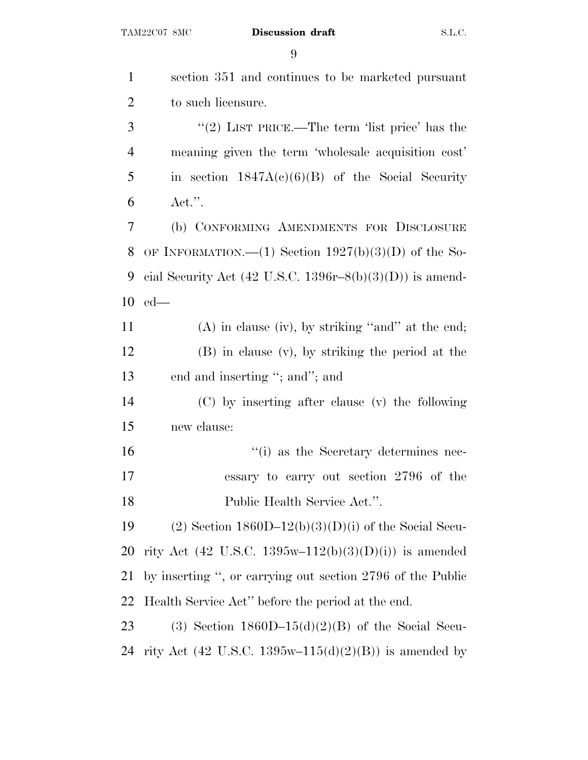| $\mathbf{1}$   | section 351 and continues to be marketed pursuant                   |
|----------------|---------------------------------------------------------------------|
| $\overline{2}$ | to such licensure.                                                  |
| 3              | "(2) LIST PRICE.—The term 'list price' has the                      |
| $\overline{4}$ | meaning given the term 'wholesale acquisition cost'                 |
| 5              | in section $1847A(c)(6)(B)$ of the Social Security                  |
| 6              | $Act."$ .                                                           |
| $\tau$         | (b) CONFORMING AMENDMENTS FOR DISCLOSURE                            |
| 8              | OF INFORMATION.—(1) Section $1927(b)(3)(D)$ of the So-              |
| 9              | cial Security Act $(42 \text{ U.S.C. } 1396r-8(b)(3)(D))$ is amend- |
| 10             | $ed$ —                                                              |
| 11             | $(A)$ in clause (iv), by striking "and" at the end;                 |
| 12             | $(B)$ in clause $(v)$ , by striking the period at the               |
| 13             | end and inserting "; and"; and                                      |
| 14             | (C) by inserting after clause (v) the following                     |
| 15             | new clause:                                                         |
| 16             | "(i) as the Secretary determines nec-                               |
| 17             | essary to carry out section 2796 of the                             |
| 18             | Public Health Service Act.".                                        |
| 19             | $(2)$ Section 1860D-12(b)(3)(D)(i) of the Social Secu-              |
| 20             | rity Act (42 U.S.C. 1395w-112(b)(3)(D)(i)) is amended               |
| 21             | by inserting ", or carrying out section 2796 of the Public          |
| 22             | Health Service Act" before the period at the end.                   |
| 23             | (3) Section $1860D-15(d)(2)(B)$ of the Social Secu-                 |
| 24             | rity Act (42 U.S.C. 1395w-115(d)(2)(B)) is amended by               |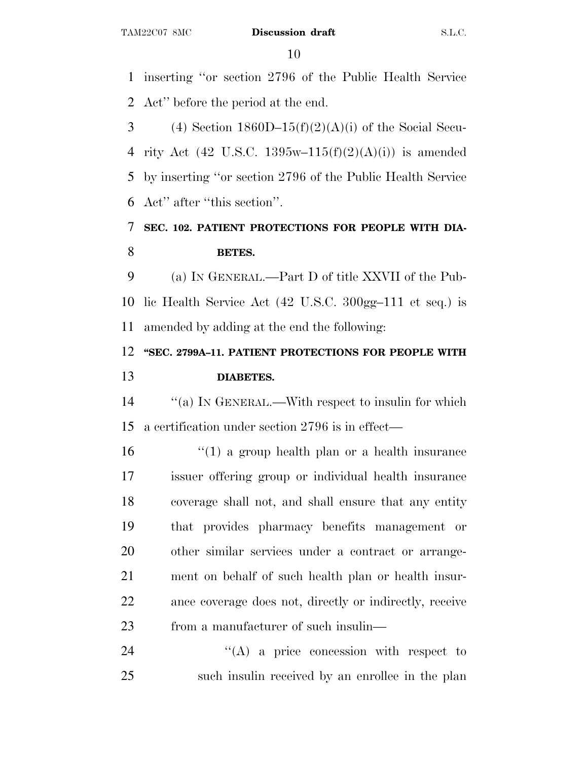inserting ''or section 2796 of the Public Health Service Act'' before the period at the end.

3 (4) Section  $1860D-15(f)(2)(A)(i)$  of the Social Secu-4 rity Act (42 U.S.C. 1395w–115 $(f)(2)(A)(i)$ ) is amended by inserting ''or section 2796 of the Public Health Service Act'' after ''this section''.

### **SEC. 102. PATIENT PROTECTIONS FOR PEOPLE WITH DIA-BETES.**

 (a) I<sup>N</sup> GENERAL.—Part D of title XXVII of the Pub- lic Health Service Act (42 U.S.C. 300gg–111 et seq.) is amended by adding at the end the following:

### **''SEC. 2799A–11. PATIENT PROTECTIONS FOR PEOPLE WITH DIABETES.**

 ''(a) I<sup>N</sup> GENERAL.—With respect to insulin for which a certification under section 2796 is in effect—

16 ''(1) a group health plan or a health insurance issuer offering group or individual health insurance coverage shall not, and shall ensure that any entity that provides pharmacy benefits management or other similar services under a contract or arrange- ment on behalf of such health plan or health insur- ance coverage does not, directly or indirectly, receive from a manufacturer of such insulin—

24 "(A) a price concession with respect to such insulin received by an enrollee in the plan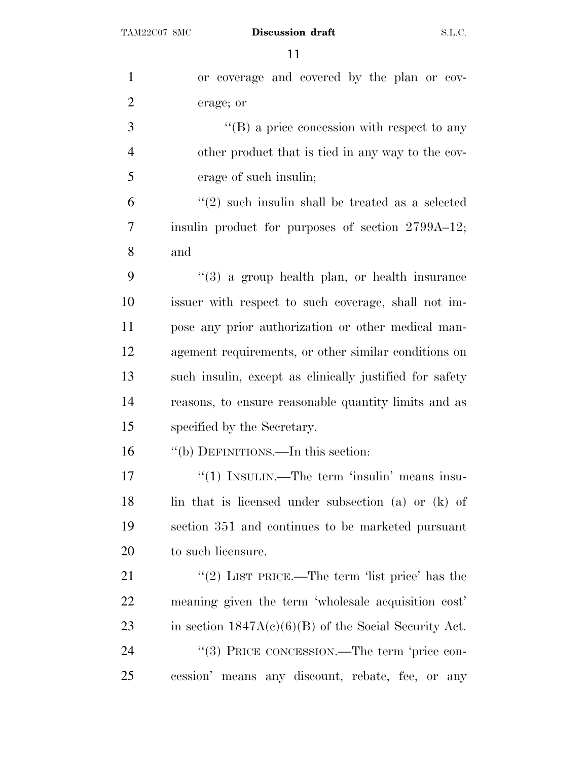| $\mathbf{1}$   | or coverage and covered by the plan or cov-             |
|----------------|---------------------------------------------------------|
| $\overline{2}$ | erage; or                                               |
| 3              | $\lq\lq (B)$ a price concession with respect to any     |
| $\overline{4}$ | other product that is tied in any way to the cov-       |
| 5              | erage of such insulin;                                  |
| 6              | $\lq(2)$ such insulin shall be treated as a selected    |
| 7              | insulin product for purposes of section 2799A-12;       |
| 8              | and                                                     |
| 9              | $(3)$ a group health plan, or health insurance          |
| 10             | issuer with respect to such coverage, shall not im-     |
| 11             | pose any prior authorization or other medical man-      |
| 12             | agement requirements, or other similar conditions on    |
| 13             | such insulin, except as clinically justified for safety |
| 14             | reasons, to ensure reasonable quantity limits and as    |
| 15             | specified by the Secretary.                             |
| 16             | "(b) DEFINITIONS.—In this section:                      |
| 17             | " $(1)$ INSULIN.—The term 'insulin' means insu-         |
| 18             | lin that is licensed under subsection (a) or (k) of     |
| 19             | section 351 and continues to be marketed pursuant       |
| 20             | to such licensure.                                      |
| 21             | "(2) LIST PRICE.—The term 'list price' has the          |
| 22             | meaning given the term 'wholesale acquisition cost'     |
| 23             | in section $1847A(c)(6)(B)$ of the Social Security Act. |
| 24             | "(3) PRICE CONCESSION.—The term 'price con-             |
| 25             | cession' means any discount, rebate, fee, or any        |
|                |                                                         |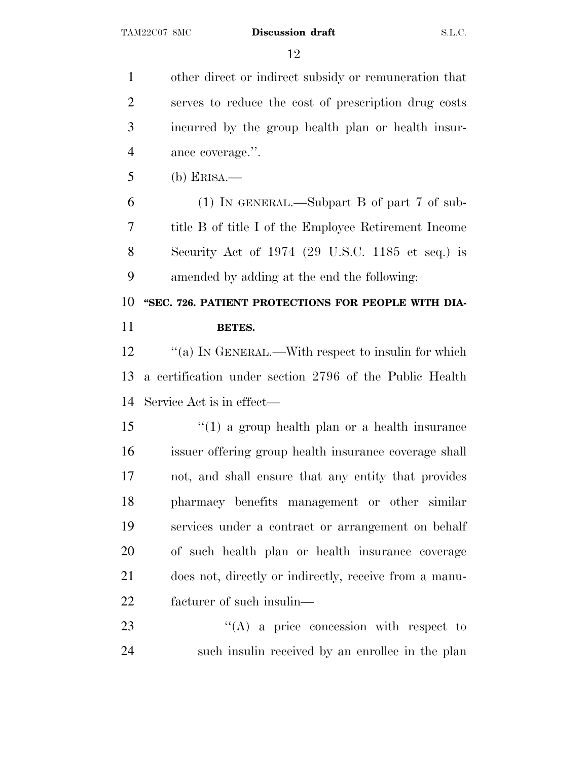other direct or indirect subsidy or remuneration that serves to reduce the cost of prescription drug costs incurred by the group health plan or health insur-ance coverage.''.

(b) ERISA.—

 (1) IN GENERAL.—Subpart B of part 7 of sub- title B of title I of the Employee Retirement Income Security Act of 1974 (29 U.S.C. 1185 et seq.) is amended by adding at the end the following:

 **''SEC. 726. PATIENT PROTECTIONS FOR PEOPLE WITH DIA-BETES.**

12 "(a) IN GENERAL.—With respect to insulin for which a certification under section 2796 of the Public Health Service Act is in effect—

 ''(1) a group health plan or a health insurance issuer offering group health insurance coverage shall not, and shall ensure that any entity that provides pharmacy benefits management or other similar services under a contract or arrangement on behalf of such health plan or health insurance coverage does not, directly or indirectly, receive from a manu-facturer of such insulin—

23 "(A) a price concession with respect to such insulin received by an enrollee in the plan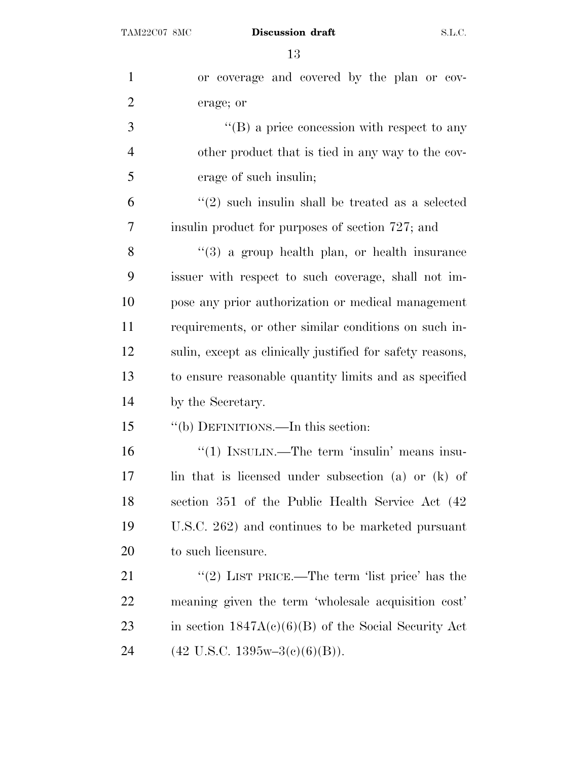| $\mathbf{1}$   | or coverage and covered by the plan or cov-                      |
|----------------|------------------------------------------------------------------|
| $\overline{2}$ | erage; or                                                        |
| 3              | $\lq\lq (B)$ a price concession with respect to any              |
| $\overline{4}$ | other product that is tied in any way to the cov-                |
| 5              | erage of such insulin;                                           |
| 6              | $(2)$ such insulin shall be treated as a selected                |
| 7              | insulin product for purposes of section 727; and                 |
| 8              | $(3)$ a group health plan, or health insurance                   |
| 9              | issuer with respect to such coverage, shall not im-              |
| 10             | pose any prior authorization or medical management               |
| 11             | requirements, or other similar conditions on such in-            |
| 12             | sulin, except as clinically justified for safety reasons,        |
| 13             | to ensure reasonable quantity limits and as specified            |
| 14             | by the Secretary.                                                |
| 15             | "(b) DEFINITIONS.—In this section:                               |
| 16             | "(1) INSULIN.—The term 'insulin' means insu-                     |
| 17             | lin that is licensed under subsection (a) or (k) of              |
| 18             | section 351 of the Public Health Service Act (42                 |
| 19             | U.S.C. 262) and continues to be marketed pursuant                |
| 20             | to such licensure.                                               |
| 21             | "(2) LIST PRICE.—The term 'list price' has the                   |
| 22             | meaning given the term 'wholesale acquisition cost'              |
| 23             | in section $1847A(c)(6)(B)$ of the Social Security Act           |
| 24             | $(42 \text{ U.S.C. } 1395\text{w} - 3\text{(c)}(6)(\text{B}))$ . |
|                |                                                                  |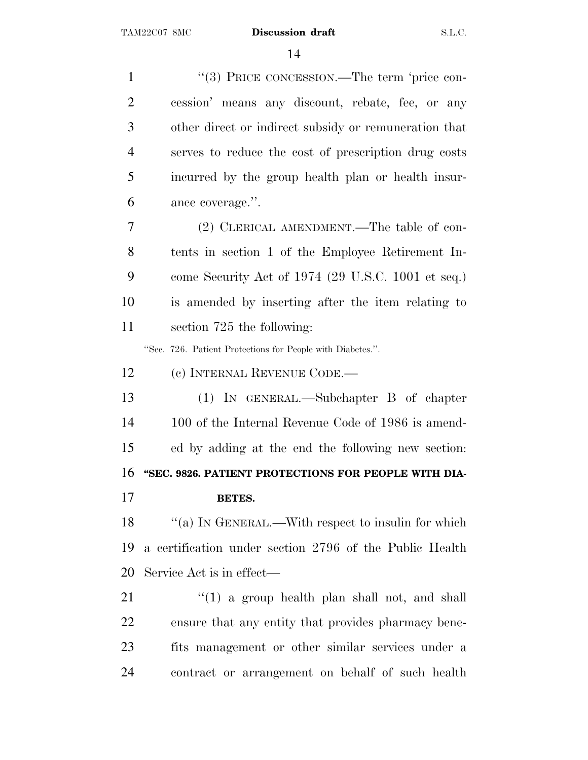1 ''(3) PRICE CONCESSION.—The term 'price con- cession' means any discount, rebate, fee, or any other direct or indirect subsidy or remuneration that serves to reduce the cost of prescription drug costs incurred by the group health plan or health insur- ance coverage.''. (2) CLERICAL AMENDMENT.—The table of con- tents in section 1 of the Employee Retirement In- come Security Act of 1974 (29 U.S.C. 1001 et seq.) is amended by inserting after the item relating to section 725 the following: ''Sec. 726. Patient Protections for People with Diabetes.''. (c) INTERNAL REVENUE CODE.— (1) IN GENERAL.—Subchapter B of chapter 100 of the Internal Revenue Code of 1986 is amend- ed by adding at the end the following new section: **''SEC. 9826. PATIENT PROTECTIONS FOR PEOPLE WITH DIA- BETES.** 18 "(a) IN GENERAL.—With respect to insulin for which a certification under section 2796 of the Public Health Service Act is in effect— 21 ''(1) a group health plan shall not, and shall ensure that any entity that provides pharmacy bene- fits management or other similar services under a contract or arrangement on behalf of such health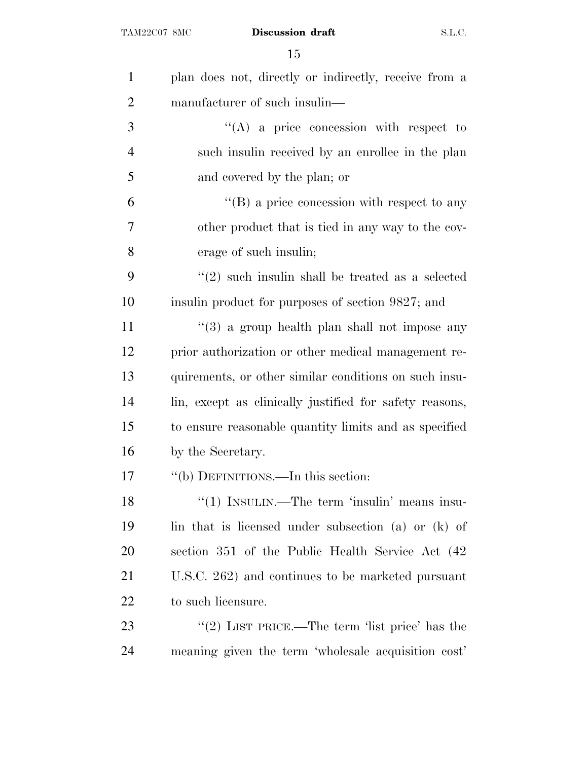| $\mathbf{1}$   | plan does not, directly or indirectly, receive from a       |
|----------------|-------------------------------------------------------------|
| $\overline{2}$ | manufacturer of such insulin—                               |
| 3              | $\lq\lq$ a price concession with respect to                 |
| $\overline{4}$ | such insulin received by an enrollee in the plan            |
| 5              | and covered by the plan; or                                 |
| 6              | $\lq\lq (B)$ a price concession with respect to any         |
| 7              | other product that is tied in any way to the cov-           |
| 8              | erage of such insulin;                                      |
| 9              | $\cdot\cdot(2)$ such insulin shall be treated as a selected |
| 10             | insulin product for purposes of section 9827; and           |
| 11             | $\lq(3)$ a group health plan shall not impose any           |
| 12             | prior authorization or other medical management re-         |
| 13             | quirements, or other similar conditions on such insu-       |
| 14             | lin, except as clinically justified for safety reasons,     |
| 15             | to ensure reasonable quantity limits and as specified       |
| 16             | by the Secretary.                                           |
| 17             | "(b) DEFINITIONS.—In this section:                          |
| 18             | "(1) INSULIN.—The term 'insulin' means insu-                |
| 19             | lin that is licensed under subsection (a) or (k) of         |
| 20             | section 351 of the Public Health Service Act (42)           |
| 21             | U.S.C. 262) and continues to be marketed pursuant           |
| 22             | to such licensure.                                          |
| 23             | "(2) LIST PRICE.—The term 'list price' has the              |
| 24             | meaning given the term 'wholesale acquisition cost'         |
|                |                                                             |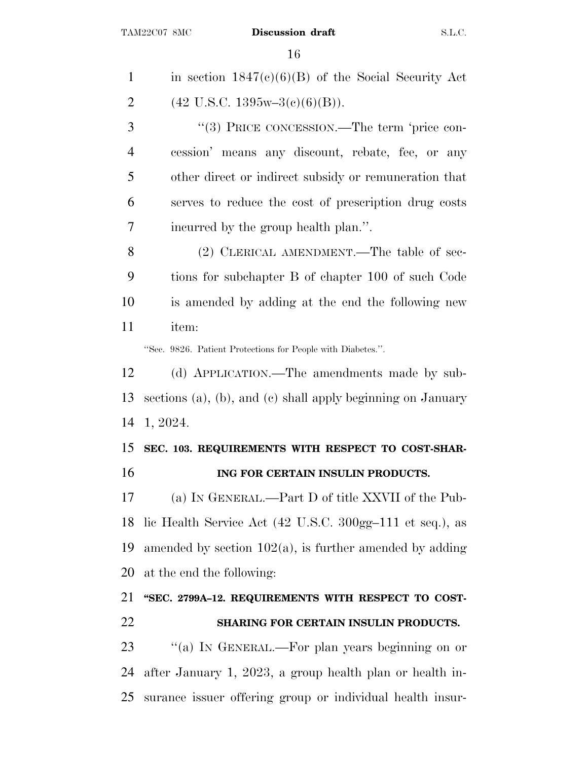| in section $1847(c)(6)(B)$ of the Social Security Act            |
|------------------------------------------------------------------|
| $(42 \text{ U.S.C. } 1395\text{w} - 3\text{(c)}(6)(\text{B}))$ . |
| "(3) PRICE CONCESSION.—The term 'price con-                      |
| cession' means any discount, rebate, fee, or any                 |
| other direct or indirect subsidy or remuneration that            |
| serves to reduce the cost of prescription drug costs             |
| incurred by the group health plan.".                             |
| (2) CLERICAL AMENDMENT.—The table of sec-                        |
| tions for subchapter B of chapter 100 of such Code               |
| is amended by adding at the end the following new                |
| item:                                                            |
| "Sec. 9826. Patient Protections for People with Diabetes.".      |
| (d) APPLICATION.—The amendments made by sub-                     |
| sections (a), (b), and (c) shall apply beginning on January      |
| 1, 2024.                                                         |
| SEC. 103. REQUIREMENTS WITH RESPECT TO COST-SHAR-                |
| ING FOR CERTAIN INSULIN PRODUCTS.                                |
| (a) IN GENERAL.—Part D of title XXVII of the Pub-                |
| lic Health Service Act (42 U.S.C. 300gg-111 et seq.), as         |
| amended by section $102(a)$ , is further amended by adding       |
| at the end the following:                                        |
| "SEC. 2799A-12. REQUIREMENTS WITH RESPECT TO COST-               |
| SHARING FOR CERTAIN INSULIN PRODUCTS.                            |
| "(a) IN GENERAL.—For plan years beginning on or                  |
| after January 1, 2023, a group health plan or health in-         |
|                                                                  |

surance issuer offering group or individual health insur-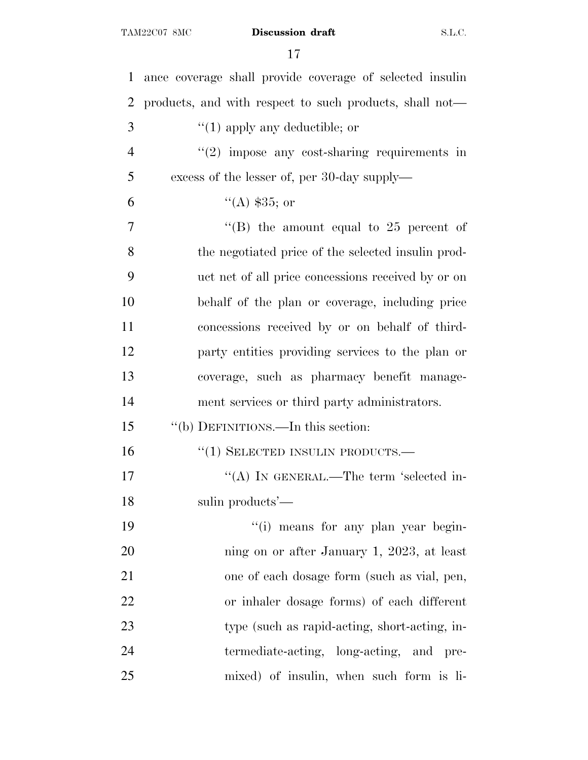| $\mathbf{1}$   | ance coverage shall provide coverage of selected insulin |
|----------------|----------------------------------------------------------|
| $\overline{2}$ | products, and with respect to such products, shall not—  |
| 3              | $\lq(1)$ apply any deductible; or                        |
| $\overline{4}$ | $"(2)$ impose any cost-sharing requirements in           |
| 5              | excess of the lesser of, per 30-day supply—              |
| 6              | "(A) $$35;$ or                                           |
| 7              | "(B) the amount equal to $25$ percent of                 |
| 8              | the negotiated price of the selected insulin prod-       |
| 9              | uct net of all price concessions received by or on       |
| 10             | behalf of the plan or coverage, including price          |
| 11             | concessions received by or on behalf of third-           |
| 12             | party entities providing services to the plan or         |
| 13             | coverage, such as pharmacy benefit manage-               |
| 14             | ment services or third party administrators.             |
| 15             | "(b) DEFINITIONS.—In this section:                       |
| 16             | "(1) SELECTED INSULIN PRODUCTS.-                         |
| 17             | "(A) IN GENERAL.—The term 'selected in-                  |
| 18             | sulin products'—                                         |
| 19             | "(i) means for any plan year begin-                      |
| 20             | ning on or after January 1, 2023, at least               |
| 21             | one of each dosage form (such as vial, pen,              |
| 22             | or inhaler dosage forms) of each different               |
| 23             | type (such as rapid-acting, short-acting, in-            |
| 24             | termediate-acting, long-acting, and pre-                 |
| 25             | mixed) of insulin, when such form is li-                 |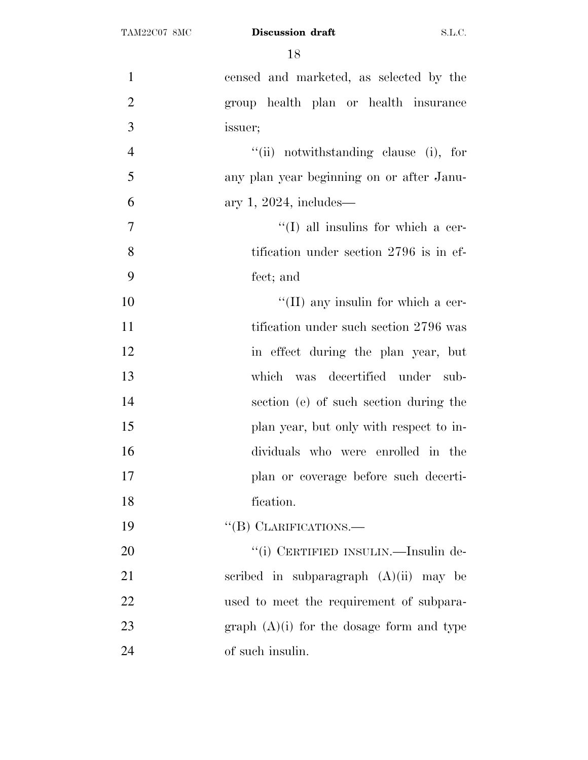| $\mathbf{1}$   | censed and marketed, as selected by the     |
|----------------|---------------------------------------------|
| $\overline{2}$ | group health plan or health insurance       |
| 3              | issuer;                                     |
| $\overline{4}$ | "(ii) notwithstanding clause (i), for       |
| 5              | any plan year beginning on or after Janu-   |
| 6              | ary 1, 2024, includes—                      |
| $\overline{7}$ | $\lq\lq$ (I) all insulins for which a cer-  |
| 8              | tification under section 2796 is in ef-     |
| 9              | fect; and                                   |
| 10             | $\lq\lq$ (II) any insulin for which a cer-  |
| 11             | tification under such section 2796 was      |
| 12             | in effect during the plan year, but         |
| 13             | was decertified under sub-<br>which         |
| 14             | section (e) of such section during the      |
| 15             | plan year, but only with respect to in-     |
| 16             | dividuals who were enrolled in the          |
| 17             | plan or coverage before such decerti-       |
| 18             | fication.                                   |
| 19             | "(B) CLARIFICATIONS.—                       |
| 20             | "(i) CERTIFIED INSULIN.—Insulin de-         |
| 21             | scribed in subparagraph $(A)(ii)$ may be    |
| 22             | used to meet the requirement of subpara-    |
| 23             | graph $(A)(i)$ for the dosage form and type |
| 24             | of such insulin.                            |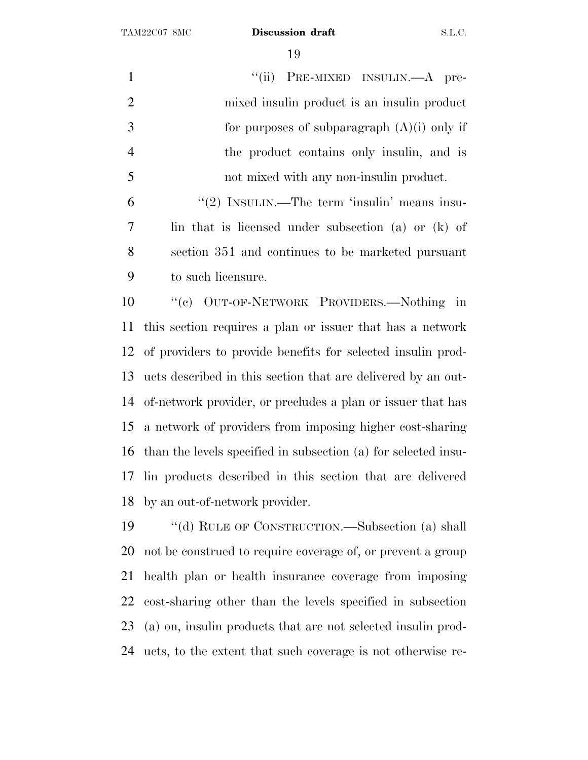| $\mathbf{1}$   | "(ii) PRE-MIXED INSULIN.—A pre-                                |
|----------------|----------------------------------------------------------------|
| $\overline{2}$ | mixed insulin product is an insulin product                    |
| 3              | for purposes of subparagraph $(A)(i)$ only if                  |
| $\overline{4}$ | the product contains only insulin, and is                      |
| 5              | not mixed with any non-insulin product.                        |
| 6              | "(2) INSULIN.—The term 'insulin' means insu-                   |
| 7              | lin that is licensed under subsection (a) or (k) of            |
| 8              | section 351 and continues to be marketed pursuant              |
| 9              | to such licensure.                                             |
| 10             | "(c) OUT-OF-NETWORK PROVIDERS.—Nothing in                      |
| 11             | this section requires a plan or issuer that has a network      |
| 12             | of providers to provide benefits for selected insulin prod-    |
| 13             | ucts described in this section that are delivered by an out-   |
| 14             | of-network provider, or precludes a plan or issuer that has    |
| 15             | a network of providers from imposing higher cost-sharing       |
| 16             | than the levels specified in subsection (a) for selected insu- |
| 17             | lin products described in this section that are delivered      |
|                | 18 by an out-of-network provider.                              |
| 19             | "(d) RULE OF CONSTRUCTION.—Subsection (a) shall                |
| 20             | not be construed to require coverage of, or prevent a group    |
| 21             | health plan or health insurance coverage from imposing         |
| 22             | cost-sharing other than the levels specified in subsection     |
| 23             | (a) on, insulin products that are not selected insulin prod-   |
|                |                                                                |

ucts, to the extent that such coverage is not otherwise re-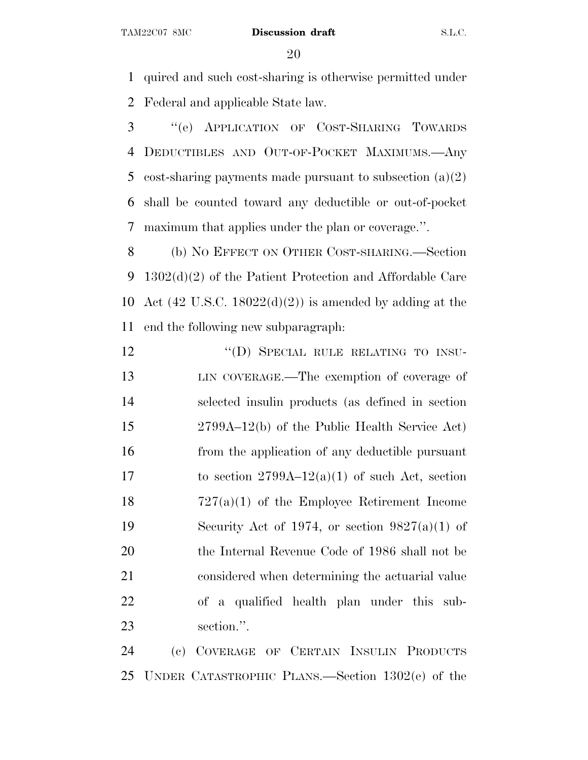quired and such cost-sharing is otherwise permitted under Federal and applicable State law.

 ''(e) APPLICATION OF COST-SHARING TOWARDS DEDUCTIBLES AND OUT-OF-POCKET MAXIMUMS.—Any cost-sharing payments made pursuant to subsection (a)(2) shall be counted toward any deductible or out-of-pocket maximum that applies under the plan or coverage.''.

 (b) N<sup>O</sup> EFFECT ON OTHER COST-SHARING.—Section 1302(d)(2) of the Patient Protection and Affordable Care 10 Act  $(42 \text{ U.S.C. } 18022(d)(2))$  is amended by adding at the end the following new subparagraph:

12 "(D) SPECIAL RULE RELATING TO INSU- LIN COVERAGE.—The exemption of coverage of selected insulin products (as defined in section 2799A–12(b) of the Public Health Service Act) from the application of any deductible pursuant 17 to section  $2799A-12(a)(1)$  of such Act, section 727(a)(1) of the Employee Retirement Income 19 Security Act of 1974, or section  $9827(a)(1)$  of the Internal Revenue Code of 1986 shall not be considered when determining the actuarial value of a qualified health plan under this sub-section.''.

 (c) COVERAGE OF CERTAIN INSULIN PRODUCTS UNDER CATASTROPHIC PLANS.—Section 1302(e) of the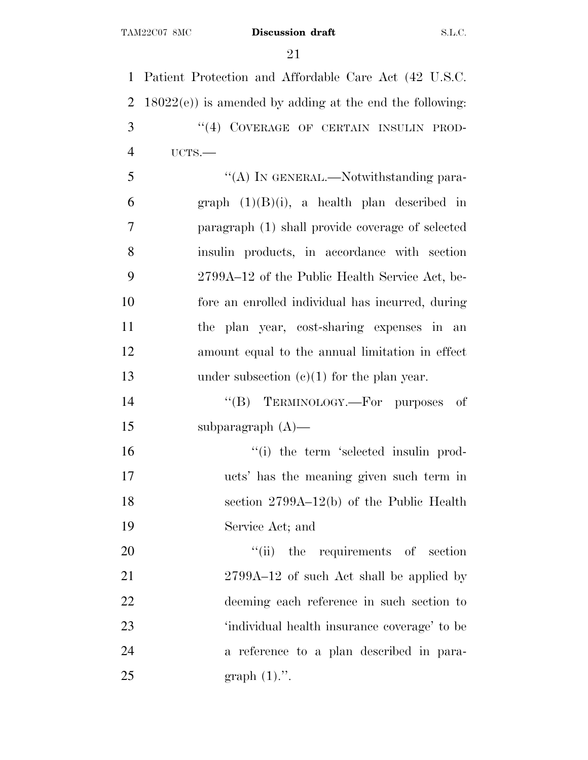Patient Protection and Affordable Care Act (42 U.S.C. 18022(e)) is amended by adding at the end the following: 3 "(4) COVERAGE OF CERTAIN INSULIN PROD- UCTS.— 5 "(A) IN GENERAL.—Notwithstanding para-6 graph  $(1)(B)(i)$ , a health plan described in paragraph (1) shall provide coverage of selected insulin products, in accordance with section 2799A–12 of the Public Health Service Act, be- fore an enrolled individual has incurred, during the plan year, cost-sharing expenses in an amount equal to the annual limitation in effect 13 under subsection (c)(1) for the plan year.  $((B)$  TERMINOLOGY.—For purposes of subparagraph (A)—  $\frac{1}{10}$  the term 'selected insulin prod- ucts' has the meaning given such term in section 2799A–12(b) of the Public Health Service Act; and  $\frac{1}{1}$  the requirements of section 21 2799A–12 of such Act shall be applied by deeming each reference in such section to 'individual health insurance coverage' to be a reference to a plan described in para-

25 graph  $(1)$ .".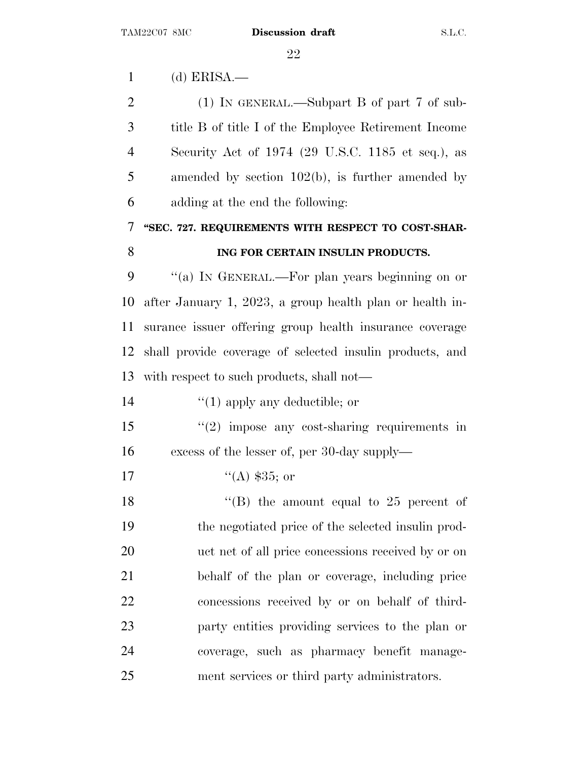(d) ERISA.— (1) IN GENERAL.—Subpart B of part 7 of sub- title B of title I of the Employee Retirement Income Security Act of 1974 (29 U.S.C. 1185 et seq.), as amended by section 102(b), is further amended by adding at the end the following: **''SEC. 727. REQUIREMENTS WITH RESPECT TO COST-SHAR- ING FOR CERTAIN INSULIN PRODUCTS.** ''(a) I<sup>N</sup> GENERAL.—For plan years beginning on or after January 1, 2023, a group health plan or health in- surance issuer offering group health insurance coverage shall provide coverage of selected insulin products, and with respect to such products, shall not—  $\frac{1}{2}$  (1) apply any deductible; or ''(2) impose any cost-sharing requirements in excess of the lesser of, per 30-day supply—  $"({\rm A})$  \$35; or 18 ''(B) the amount equal to 25 percent of the negotiated price of the selected insulin prod- uct net of all price concessions received by or on behalf of the plan or coverage, including price concessions received by or on behalf of third- party entities providing services to the plan or coverage, such as pharmacy benefit manage-ment services or third party administrators.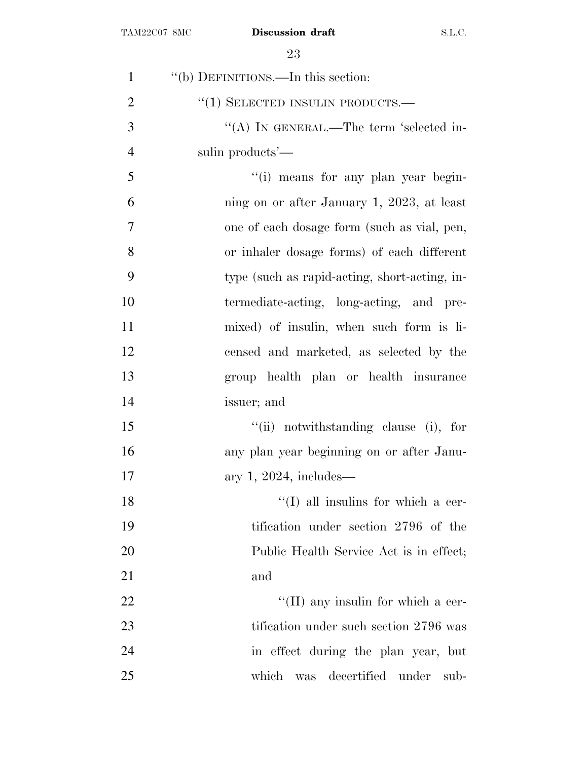| $\mathbf{1}$   | "(b) DEFINITIONS.—In this section:            |
|----------------|-----------------------------------------------|
| $\overline{2}$ | $``(1)$ SELECTED INSULIN PRODUCTS.—           |
| 3              | "(A) IN GENERAL.—The term 'selected in-       |
| $\overline{4}$ | sulin products'—                              |
| 5              | "(i) means for any plan year begin-           |
| 6              | ning on or after January 1, 2023, at least    |
| $\overline{7}$ | one of each dosage form (such as vial, pen,   |
| 8              | or inhaler dosage forms) of each different    |
| 9              | type (such as rapid-acting, short-acting, in- |
| 10             | termediate-acting, long-acting, and pre-      |
| 11             | mixed) of insulin, when such form is li-      |
| 12             | censed and marketed, as selected by the       |
| 13             | group health plan or health insurance         |
| 14             | issuer; and                                   |
| 15             | "(ii) notwithstanding clause (i), for         |
| 16             | any plan year beginning on or after Janu-     |
| 17             | ary 1, 2024, includes—                        |
| 18             | $\lq\lq$ (I) all insulins for which a cer-    |
| 19             | tification under section 2796 of the          |
| 20             | Public Health Service Act is in effect;       |
| 21             | and                                           |
| 22             | "(II) any insulin for which a cer-            |
| 23             | tification under such section 2796 was        |
| 24             | in effect during the plan year, but           |
| 25             | decertified under<br>which<br>was<br>sub-     |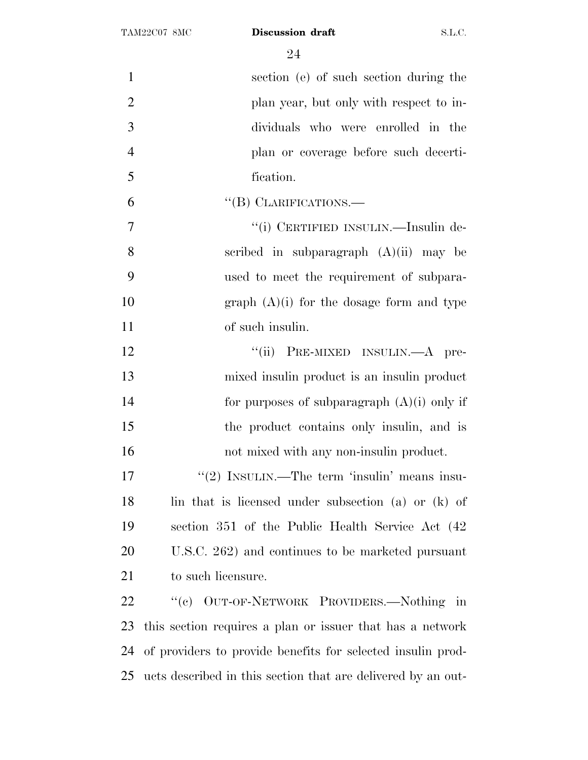| $\mathbf{1}$   | section (e) of such section during the                       |
|----------------|--------------------------------------------------------------|
| $\overline{2}$ | plan year, but only with respect to in-                      |
| 3              | dividuals who were enrolled in the                           |
| $\overline{4}$ | plan or coverage before such decerti-                        |
| 5              | fication.                                                    |
| 6              | "(B) CLARIFICATIONS.—                                        |
| $\tau$         | "(i) CERTIFIED INSULIN.—Insulin de-                          |
| 8              | scribed in subparagraph $(A)(ii)$ may be                     |
| 9              | used to meet the requirement of subpara-                     |
| 10             | graph $(A)(i)$ for the dosage form and type                  |
| 11             | of such insulin.                                             |
| 12             | "(ii) PRE-MIXED INSULIN.—A pre-                              |
| 13             | mixed insulin product is an insulin product                  |
| 14             | for purposes of subparagraph $(A)(i)$ only if                |
| 15             | the product contains only insulin, and is                    |
| 16             | not mixed with any non-insulin product.                      |
| 17             | "(2) INSULIN.—The term 'insulin' means insu-                 |
| 18             | lin that is licensed under subsection (a) or (k) of          |
| 19             | section 351 of the Public Health Service Act (42)            |
| 20             | U.S.C. 262) and continues to be marketed pursuant            |
| 21             | to such licensure.                                           |
| 22             | "(c) OUT-OF-NETWORK PROVIDERS.—Nothing in                    |
| 23             | this section requires a plan or issuer that has a network    |
| 24             | of providers to provide benefits for selected insulin prod-  |
| 25             | ucts described in this section that are delivered by an out- |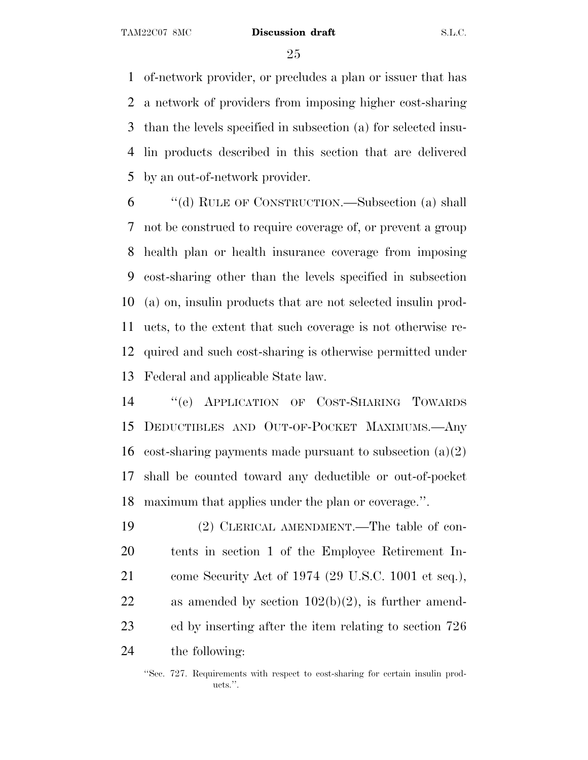of-network provider, or precludes a plan or issuer that has a network of providers from imposing higher cost-sharing than the levels specified in subsection (a) for selected insu- lin products described in this section that are delivered by an out-of-network provider.

 ''(d) RULE OF CONSTRUCTION.—Subsection (a) shall not be construed to require coverage of, or prevent a group health plan or health insurance coverage from imposing cost-sharing other than the levels specified in subsection (a) on, insulin products that are not selected insulin prod- ucts, to the extent that such coverage is not otherwise re- quired and such cost-sharing is otherwise permitted under Federal and applicable State law.

 ''(e) APPLICATION OF COST-SHARING TOWARDS DEDUCTIBLES AND OUT-OF-POCKET MAXIMUMS.—Any 16 cost-sharing payments made pursuant to subsection  $(a)(2)$  shall be counted toward any deductible or out-of-pocket maximum that applies under the plan or coverage.''.

 (2) CLERICAL AMENDMENT.—The table of con- tents in section 1 of the Employee Retirement In- come Security Act of 1974 (29 U.S.C. 1001 et seq.), 22 as amended by section  $102(b)(2)$ , is further amend- ed by inserting after the item relating to section 726 the following:

<sup>&#</sup>x27;'Sec. 727. Requirements with respect to cost-sharing for certain insulin products.''.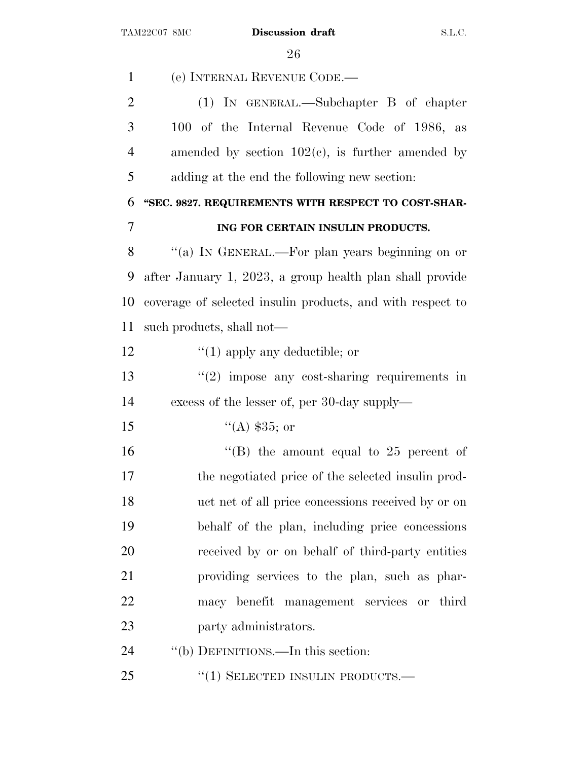| $\mathbf{1}$   | (e) INTERNAL REVENUE CODE.                                 |
|----------------|------------------------------------------------------------|
| $\overline{2}$ | $(1)$ IN GENERAL.—Subchapter B of chapter                  |
| 3              | 100 of the Internal Revenue Code of 1986, as               |
| $\overline{4}$ | amended by section $102(c)$ , is further amended by        |
| 5              | adding at the end the following new section:               |
| 6              | "SEC. 9827. REQUIREMENTS WITH RESPECT TO COST-SHAR-        |
| 7              | ING FOR CERTAIN INSULIN PRODUCTS.                          |
| 8              | "(a) IN GENERAL.—For plan years beginning on or            |
| 9              | after January 1, 2023, a group health plan shall provide   |
| 10             | coverage of selected insulin products, and with respect to |
| 11             | such products, shall not—                                  |
| 12             | $\lq(1)$ apply any deductible; or                          |
| 13             | $"(2)$ impose any cost-sharing requirements in             |
| 14             | excess of the lesser of, per 30-day supply—                |
| 15             | $(4)$ \$35; or                                             |
| 16             | "(B) the amount equal to $25$ percent of                   |
| 17             | the negotiated price of the selected insulin prod-         |
| 18             | uct net of all price concessions received by or on         |
| 19             | behalf of the plan, including price concessions            |
| 20             | received by or on behalf of third-party entities           |
| 21             | providing services to the plan, such as phar-              |
| 22             | macy benefit management services or third                  |
| 23             | party administrators.                                      |
| 24             | "(b) DEFINITIONS.—In this section:                         |
| 25             | $``(1)$ SELECTED INSULIN PRODUCTS.—                        |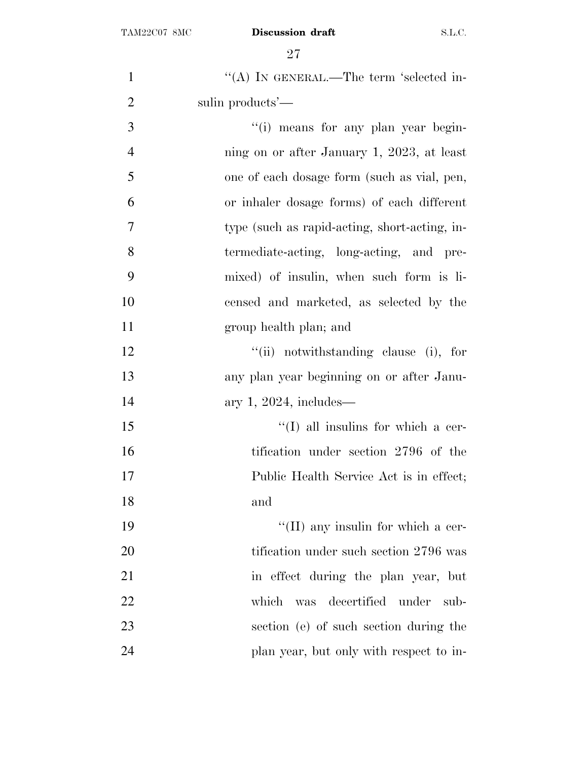| $\mathbf{1}$   | "(A) IN GENERAL.—The term 'selected in-       |
|----------------|-----------------------------------------------|
| $\overline{2}$ | sulin products'—                              |
| 3              | "(i) means for any plan year begin-           |
| $\overline{4}$ | ning on or after January 1, 2023, at least    |
| 5              | one of each dosage form (such as vial, pen,   |
| 6              | or inhaler dosage forms) of each different    |
| $\overline{7}$ | type (such as rapid-acting, short-acting, in- |
| 8              | termediate-acting, long-acting, and pre-      |
| 9              | mixed) of insulin, when such form is li-      |
| 10             | censed and marketed, as selected by the       |
| 11             | group health plan; and                        |
| 12             | "(ii) notwithstanding clause (i), for         |
| 13             | any plan year beginning on or after Janu-     |
| 14             | ary 1, 2024, includes—                        |
| 15             | $\lq\lq$ (I) all insulins for which a cer-    |
| 16             | tification under section 2796 of the          |
| 17             | Public Health Service Act is in effect;       |
| 18             | and                                           |
| 19             | "(II) any insulin for which a cer-            |
| <b>20</b>      | tification under such section 2796 was        |
| 21             | in effect during the plan year, but           |
| 22             | was decertified under<br>which<br>sub-        |
| 23             | section (e) of such section during the        |
| 24             | plan year, but only with respect to in-       |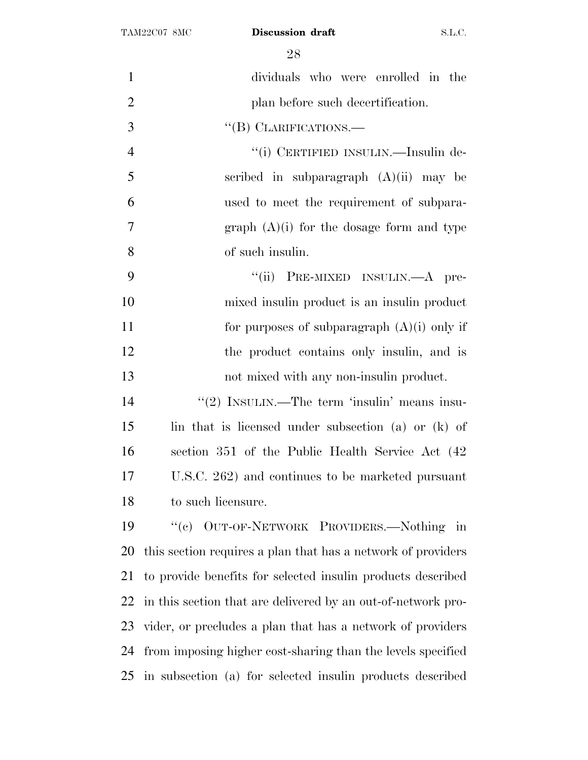| $\mathbf{1}$   | dividuals who were enrolled in the                           |
|----------------|--------------------------------------------------------------|
| $\overline{2}$ | plan before such decertification.                            |
| 3              | "(B) CLARIFICATIONS.—                                        |
| $\overline{4}$ | "(i) CERTIFIED INSULIN.—Insulin de-                          |
| 5              | scribed in subparagraph $(A)(ii)$ may be                     |
| 6              | used to meet the requirement of subpara-                     |
| 7              | graph $(A)(i)$ for the dosage form and type                  |
| 8              | of such insulin.                                             |
| 9              | "(ii) PRE-MIXED INSULIN.—A pre-                              |
| 10             | mixed insulin product is an insulin product                  |
| 11             | for purposes of subparagraph $(A)(i)$ only if                |
| 12             | the product contains only insulin, and is                    |
| 13             | not mixed with any non-insulin product.                      |
| 14             | "(2) INSULIN.—The term 'insulin' means insu-                 |
| 15             | lin that is licensed under subsection (a) or (k) of          |
| 16             | section 351 of the Public Health Service Act (42)            |
| 17             | U.S.C. 262) and continues to be marketed pursuant            |
| 18             | to such licensure.                                           |
| 19             | "(c) OUT-OF-NETWORK PROVIDERS.—Nothing in                    |
| 20             | this section requires a plan that has a network of providers |
| 21             | to provide benefits for selected insulin products described  |
| 22             | in this section that are delivered by an out-of-network pro- |
| 23             | vider, or precludes a plan that has a network of providers   |
| 24             | from imposing higher cost-sharing than the levels specified  |
| 25             | in subsection (a) for selected insulin products described    |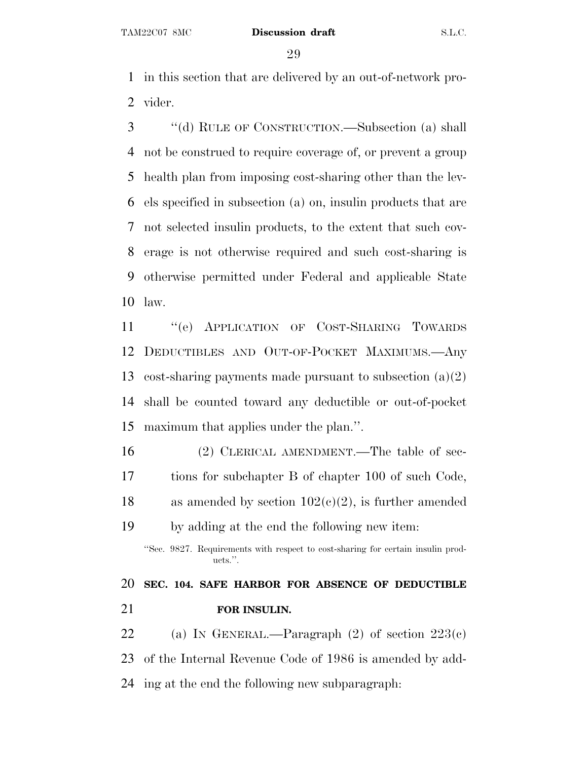in this section that are delivered by an out-of-network pro-vider.

 ''(d) RULE OF CONSTRUCTION.—Subsection (a) shall not be construed to require coverage of, or prevent a group health plan from imposing cost-sharing other than the lev- els specified in subsection (a) on, insulin products that are not selected insulin products, to the extent that such cov- erage is not otherwise required and such cost-sharing is otherwise permitted under Federal and applicable State law.

 ''(e) APPLICATION OF COST-SHARING TOWARDS DEDUCTIBLES AND OUT-OF-POCKET MAXIMUMS.—Any cost-sharing payments made pursuant to subsection (a)(2) shall be counted toward any deductible or out-of-pocket maximum that applies under the plan.''.

 (2) CLERICAL AMENDMENT.—The table of sec- tions for subchapter B of chapter 100 of such Code, 18 as amended by section  $102(c)(2)$ , is further amended by adding at the end the following new item:

''Sec. 9827. Requirements with respect to cost-sharing for certain insulin products.''.

 **SEC. 104. SAFE HARBOR FOR ABSENCE OF DEDUCTIBLE FOR INSULIN.**

22 (a) IN GENERAL.—Paragraph  $(2)$  of section  $223(e)$  of the Internal Revenue Code of 1986 is amended by add-ing at the end the following new subparagraph: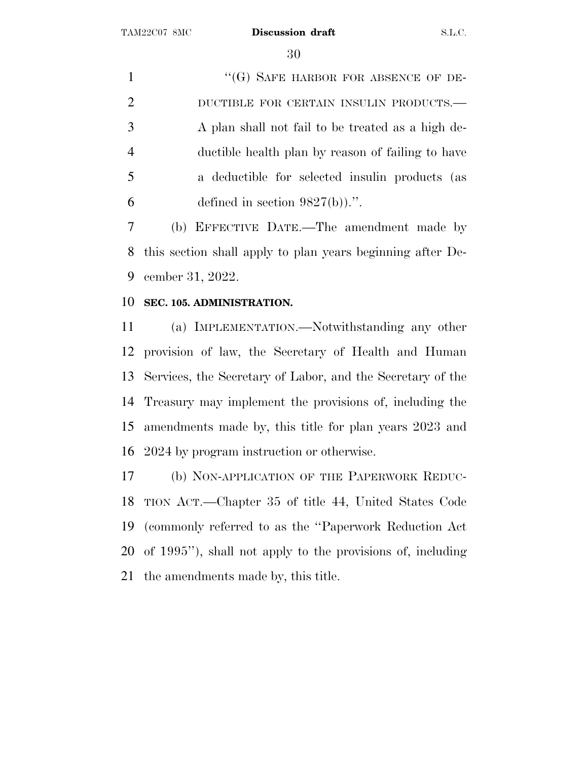1 "(G) SAFE HARBOR FOR ABSENCE OF DE- DUCTIBLE FOR CERTAIN INSULIN PRODUCTS.— A plan shall not fail to be treated as a high de- ductible health plan by reason of failing to have a deductible for selected insulin products (as 6 defined in section  $9827(b)$ .".

 (b) EFFECTIVE DATE.—The amendment made by this section shall apply to plan years beginning after De-cember 31, 2022.

#### **SEC. 105. ADMINISTRATION.**

 (a) IMPLEMENTATION.—Notwithstanding any other provision of law, the Secretary of Health and Human Services, the Secretary of Labor, and the Secretary of the Treasury may implement the provisions of, including the amendments made by, this title for plan years 2023 and 2024 by program instruction or otherwise.

 (b) NON-APPLICATION OF THE PAPERWORK REDUC- TION ACT.—Chapter 35 of title 44, United States Code (commonly referred to as the ''Paperwork Reduction Act of 1995''), shall not apply to the provisions of, including the amendments made by, this title.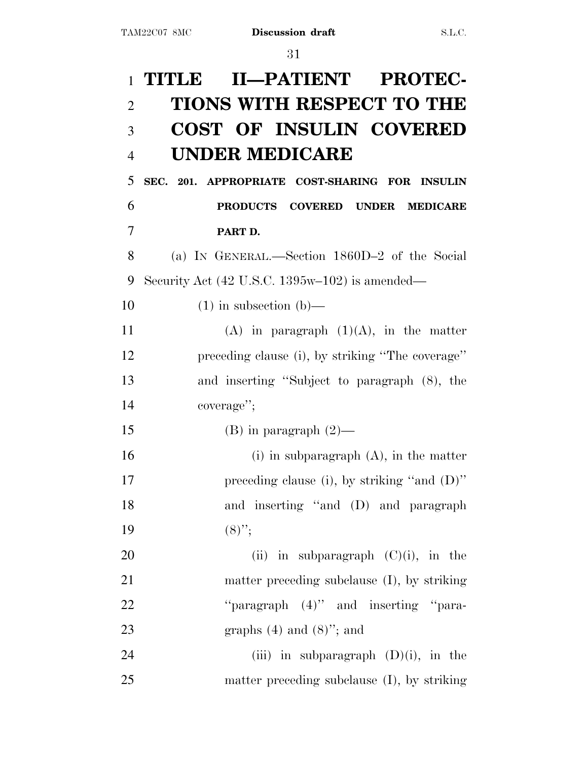# 1 **TITLE II—PATIENT PROTEC-**2 **TIONS WITH RESPECT TO THE** 3 **COST OF INSULIN COVERED** 4 **UNDER MEDICARE** 5 **SEC. 201. APPROPRIATE COST-SHARING FOR INSULIN** 6 **PRODUCTS COVERED UNDER MEDICARE** 7 **PART D.** 8 (a) I<sup>N</sup> GENERAL.—Section 1860D–2 of the Social 9 Security Act (42 U.S.C. 1395w–102) is amended— 10  $(1)$  in subsection (b)— 11 (A) in paragraph  $(1)(A)$ , in the matter 12 preceding clause (i), by striking ''The coverage'' 13 and inserting ''Subject to paragraph (8), the 14 coverage''; 15 (B) in paragraph  $(2)$ — 16 (i) in subparagraph (A), in the matter 17 preceding clause (i), by striking "and  $(D)$ " 18 and inserting ''and (D) and paragraph 19  $(8)$ ";

20 (ii) in subparagraph  $(C)(i)$ , in the 21 matter preceding subclause (I), by striking 22 "paragraph (4)" and inserting "para-23 graphs  $(4)$  and  $(8)$ "; and

24 (iii) in subparagraph  $(D)(i)$ , in the 25 matter preceding subclause (I), by striking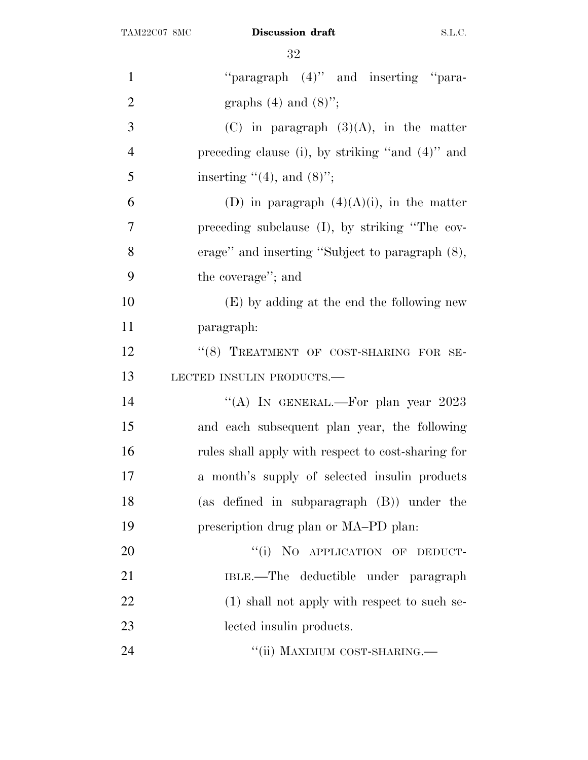| $\mathbf{1}$   | "paragraph $(4)$ " and inserting "para-            |
|----------------|----------------------------------------------------|
| $\overline{2}$ | graphs $(4)$ and $(8)$ ";                          |
| 3              | $(C)$ in paragraph $(3)(A)$ , in the matter        |
| $\overline{4}$ | preceding clause (i), by striking "and (4)" and    |
| 5              | inserting $\lq(4)$ , and $(8)$ ";                  |
| 6              | (D) in paragraph $(4)(A)(i)$ , in the matter       |
| $\overline{7}$ | preceding subclause (I), by striking "The cov-     |
| 8              | erage" and inserting "Subject to paragraph $(8)$ , |
| 9              | the coverage"; and                                 |
| 10             | (E) by adding at the end the following new         |
| 11             | paragraph:                                         |
| 12             | "(8) TREATMENT OF COST-SHARING FOR SE-             |
| 13             | LECTED INSULIN PRODUCTS.-                          |
| 14             | "(A) IN GENERAL.—For plan year 2023                |
| 15             | and each subsequent plan year, the following       |
| 16             | rules shall apply with respect to cost-sharing for |
| 17             | a month's supply of selected insulin products      |
| 18             | (as defined in subparagraph $(B)$ ) under the      |
| 19             | prescription drug plan or MA-PD plan.              |
| 20             | "(i) NO APPLICATION OF DEDUCT-                     |
| 21             | IBLE.—The deductible under paragraph               |
| 22             | (1) shall not apply with respect to such se-       |
| 23             | lected insulin products.                           |
| 24             | "(ii) MAXIMUM COST-SHARING.-                       |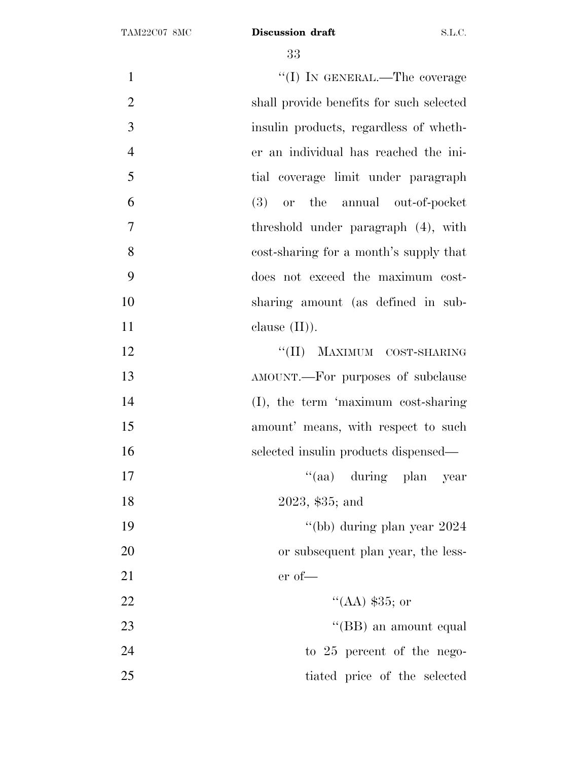$\text{``(I)}$  In GENERAL.—The coverage shall provide benefits for such selected insulin products, regardless of wheth- er an individual has reached the ini- tial coverage limit under paragraph (3) or the annual out-of-pocket threshold under paragraph (4), with cost-sharing for a month's supply that does not exceed the maximum cost- sharing amount (as defined in sub- clause  $(II)$ ). 12 ''(II) MAXIMUM COST-SHARING AMOUNT.—For purposes of subclause (I), the term 'maximum cost-sharing 15 amount' means, with respect to such selected insulin products dispensed— 17 ''(aa) during plan year 2023, \$35; and ''(bb) during plan year 2024 20 or subsequent plan year, the less- er of—  $\text{``(AA)} \, \$35; \text{ or}$ 23 ''(BB) an amount equal 24 to 25 percent of the nego-tiated price of the selected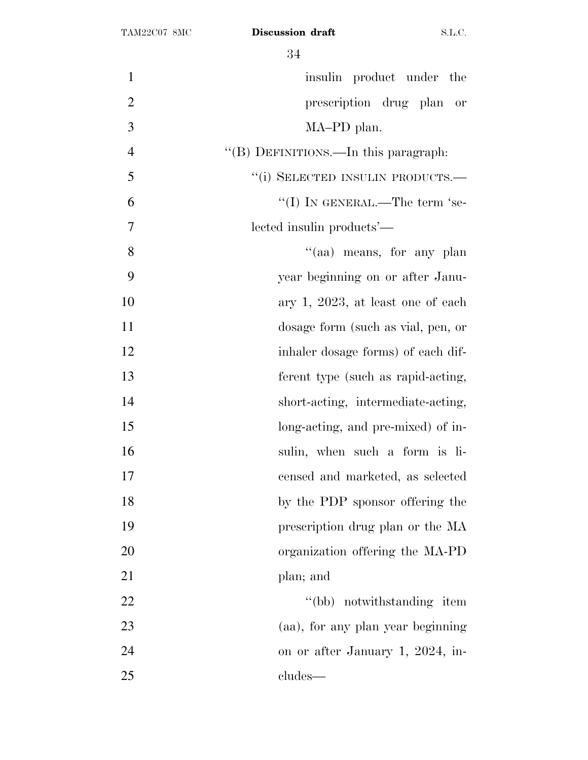| $\mathbf{1}$   | insulin product under the            |
|----------------|--------------------------------------|
| $\overline{2}$ | prescription drug plan<br>or         |
| 3              | MA-PD plan.                          |
| $\overline{4}$ | "(B) DEFINITIONS.—In this paragraph: |
| 5              | "(i) SELECTED INSULIN PRODUCTS.—     |
| 6              | "(I) IN GENERAL.—The term 'se-       |
| 7              | lected insulin products'—            |
| 8              | "(aa) means, for any plan            |
| 9              | year beginning on or after Janu-     |
| 10             | ary 1, 2023, at least one of each    |
| 11             | dosage form (such as vial, pen, or   |
| 12             | inhaler dosage forms) of each dif-   |
| 13             | ferent type (such as rapid-acting,   |
| 14             | short-acting, intermediate-acting,   |
| 15             | long-acting, and pre-mixed) of in-   |
| 16             | sulin, when such a form is li-       |
| 17             | censed and marketed, as selected     |
| 18             | by the PDP sponsor offering the      |
| 19             | prescription drug plan or the MA     |
| 20             | organization offering the MA-PD      |
| 21             | plan; and                            |
| 22             | "(bb) notwithstanding item           |
| 23             | (aa), for any plan year beginning    |
| 24             | on or after January 1, 2024, in-     |
| 25             | cludes—                              |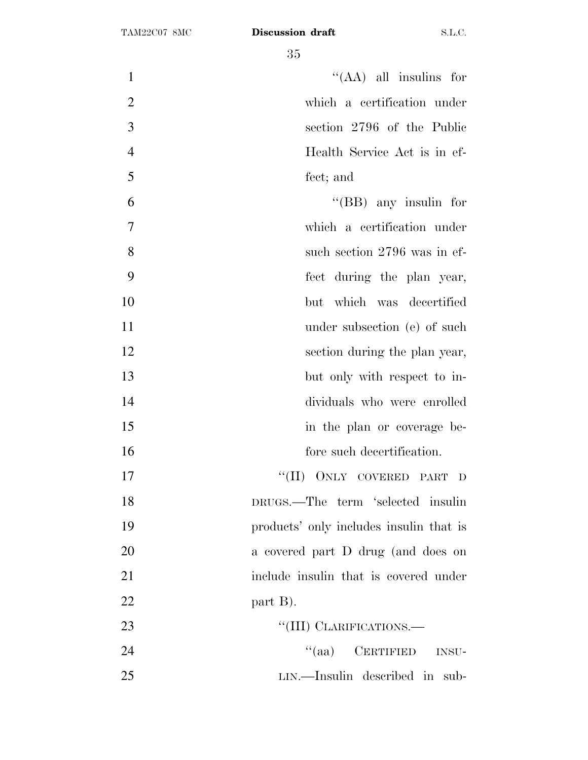| $\mathbf{1}$   | "(AA) all insulins for                  |
|----------------|-----------------------------------------|
| $\overline{2}$ | which a certification under             |
| 3              | section 2796 of the Public              |
| $\overline{4}$ | Health Service Act is in ef-            |
| 5              | fect; and                               |
| 6              | $\lq\lq$ (BB) any insulin for           |
| $\tau$         | which a certification under             |
| 8              | such section 2796 was in ef-            |
| 9              | fect during the plan year,              |
| 10             | but which was decertified               |
| 11             | under subsection (e) of such            |
| 12             | section during the plan year,           |
| 13             | but only with respect to in-            |
| 14             | dividuals who were enrolled             |
| 15             | in the plan or coverage be-             |
| 16             | fore such decertification.              |
| 17             | ONLY COVERED PART D<br>``(II)           |
| 18             | DRUGS.—The term 'selected insulin       |
| 19             | products' only includes insulin that is |
| 20             | a covered part D drug (and does on      |
| 21             | include insulin that is covered under   |
| 22             | part B).                                |
| 23             | "(III) CLARIFICATIONS.—                 |
| 24             | "(aa) CERTIFIED INSU-                   |
| 25             | LIN.—Insulin described in sub-          |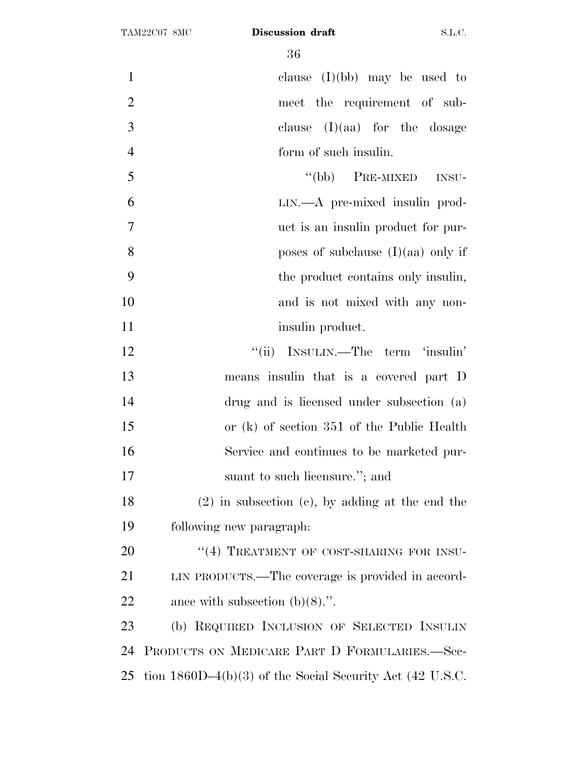clause (I)(bb) may be used to meet the requirement of sub- clause (I)(aa) for the dosage form of such insulin.

 ''(bb) PRE-MIXED INSU- LIN.—A pre-mixed insulin prod- uct is an insulin product for pur-**b** poses of subclause (I)(aa) only if the product contains only insulin, 10 and is not mixed with any non-11 insulin product.

12 ''(ii) INSULIN.—The term 'insulin' means insulin that is a covered part D drug and is licensed under subsection (a) or (k) of section 351 of the Public Health Service and continues to be marketed pur-17 suant to such licensure."; and

 (2) in subsection (c), by adding at the end the following new paragraph:

20 "(4) TREATMENT OF COST-SHARING FOR INSU- LIN PRODUCTS.—The coverage is provided in accord-ance with subsection (b)(8).''.

 (b) REQUIRED INCLUSION OF SELECTED INSULIN PRODUCTS ON MEDICARE PART D FORMULARIES.—Sec-tion 1860D–4(b)(3) of the Social Security Act (42 U.S.C.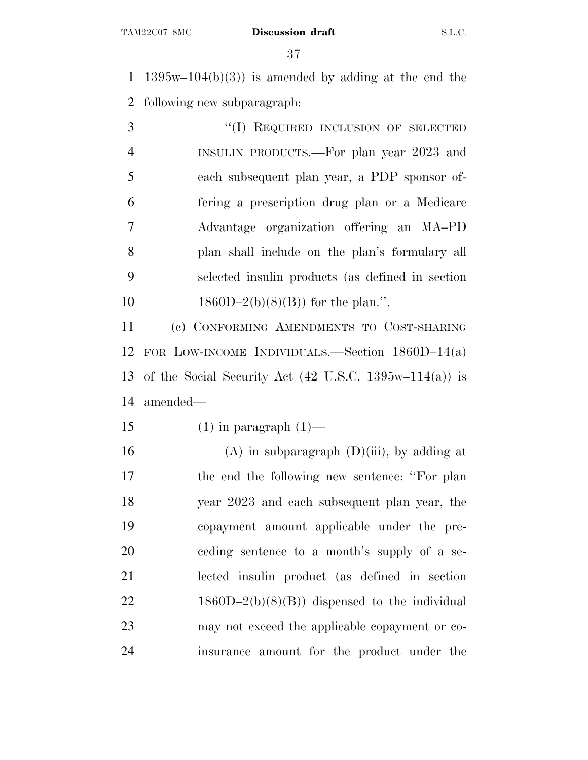1 1395w–104(b)(3)) is amended by adding at the end the following new subparagraph:

3 "(I) REQUIRED INCLUSION OF SELECTED INSULIN PRODUCTS.—For plan year 2023 and each subsequent plan year, a PDP sponsor of- fering a prescription drug plan or a Medicare Advantage organization offering an MA–PD plan shall include on the plan's formulary all selected insulin products (as defined in section  $1860D-2(b)(8)(B)$  for the plan.".

 (c) CONFORMING AMENDMENTS TO COST-SHARING FOR LOW-INCOME INDIVIDUALS.—Section 1860D–14(a) of the Social Security Act (42 U.S.C. 1395w–114(a)) is amended—

15 (1) in paragraph  $(1)$ —

16 (A) in subparagraph  $(D)(iii)$ , by adding at the end the following new sentence: ''For plan year 2023 and each subsequent plan year, the copayment amount applicable under the pre- ceding sentence to a month's supply of a se- lected insulin product (as defined in section 22 1860D–2(b)(8)(B)) dispensed to the individual may not exceed the applicable copayment or co-insurance amount for the product under the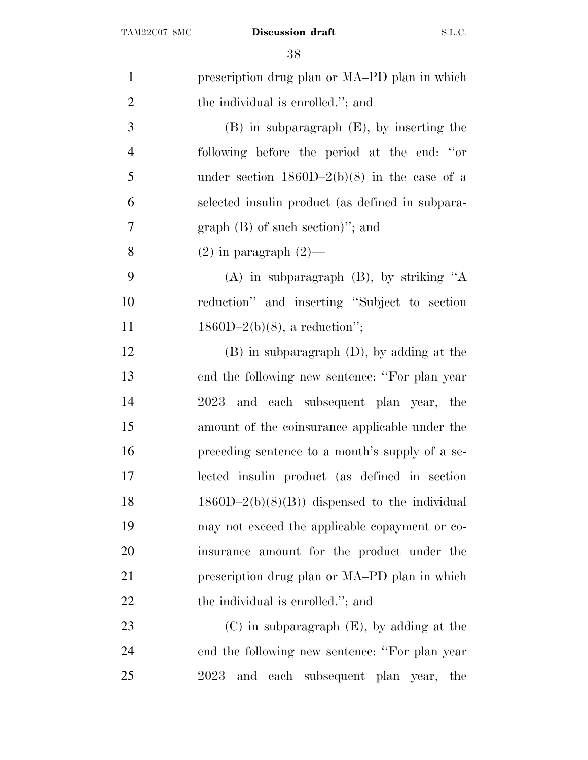| $\mathbf{1}$   | prescription drug plan or MA-PD plan in which    |
|----------------|--------------------------------------------------|
| $\overline{2}$ | the individual is enrolled."; and                |
| 3              | $(B)$ in subparagraph $(E)$ , by inserting the   |
| $\overline{4}$ | following before the period at the end: "or      |
| 5              | under section $1860D-2(b)(8)$ in the case of a   |
| 6              | selected insulin product (as defined in subpara- |
| 7              | $graph(B)$ of such section)"; and                |
| 8              | $(2)$ in paragraph $(2)$ —                       |
| 9              | $(A)$ in subparagraph $(B)$ , by striking "A     |
| 10             | reduction" and inserting "Subject to section     |
| 11             | $1860D-2(b)(8)$ , a reduction";                  |
| 12             | $(B)$ in subparagraph $(D)$ , by adding at the   |
| 13             | end the following new sentence: "For plan year"  |
| 14             | and each subsequent plan year, the<br>2023       |
| 15             | amount of the coinsurance applicable under the   |
| 16             | preceding sentence to a month's supply of a se-  |
| 17             | lected insulin product (as defined in section    |
| 18             | $1860D-2(b)(8)(B)$ dispensed to the individual   |
| 19             | may not exceed the applicable copayment or co-   |
| 20             | insurance amount for the product under the       |
| 21             | prescription drug plan or MA–PD plan in which    |
| 22             | the individual is enrolled."; and                |
| 23             | $(C)$ in subparagraph $(E)$ , by adding at the   |
| 24             | end the following new sentence: "For plan year   |
| 25             | 2023<br>and<br>each<br>subsequent plan year, the |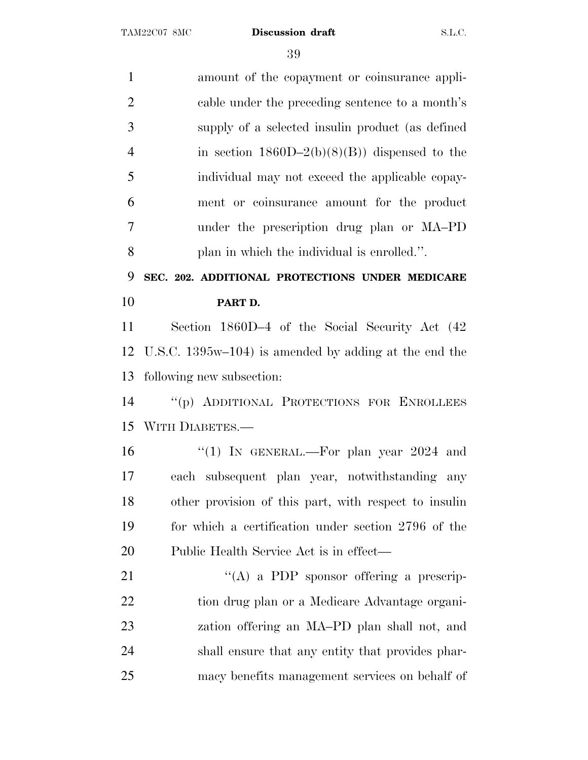| $\mathbf{1}$   | amount of the copayment or coinsurance appli-            |
|----------------|----------------------------------------------------------|
| $\overline{2}$ | cable under the preceding sentence to a month's          |
| 3              | supply of a selected insulin product (as defined         |
| $\overline{4}$ | in section $1860D-2(b)(8)(B)$ dispensed to the           |
| 5              | individual may not exceed the applicable copay-          |
| 6              | ment or coinsurance amount for the product               |
| 7              | under the prescription drug plan or MA-PD                |
| 8              | plan in which the individual is enrolled.".              |
| 9              | SEC. 202. ADDITIONAL PROTECTIONS UNDER MEDICARE          |
| 10             | PART D.                                                  |
| 11             | Section 1860D-4 of the Social Security Act (42)          |
| 12             | U.S.C. $1395w-104$ ) is amended by adding at the end the |
| 13             | following new subsection:                                |
| 14             | "(p) ADDITIONAL PROTECTIONS FOR ENROLLEES                |
| 15             | WITH DIABETES.-                                          |
| 16             | "(1) IN GENERAL.—For plan year $2024$ and                |
| 17             | each subsequent plan year, notwithstanding any           |
| 18             | other provision of this part, with respect to insuline   |
| 19             | for which a certification under section 2796 of the      |
| 20             | Public Health Service Act is in effect—                  |
| 21             | $\lq\lq$ (A) a PDP sponsor offering a prescrip-          |
| 22             | tion drug plan or a Medicare Advantage organi-           |
| 23             | zation offering an MA-PD plan shall not, and             |
| 24             | shall ensure that any entity that provides phar-         |
| 25             | macy benefits management services on behalf of           |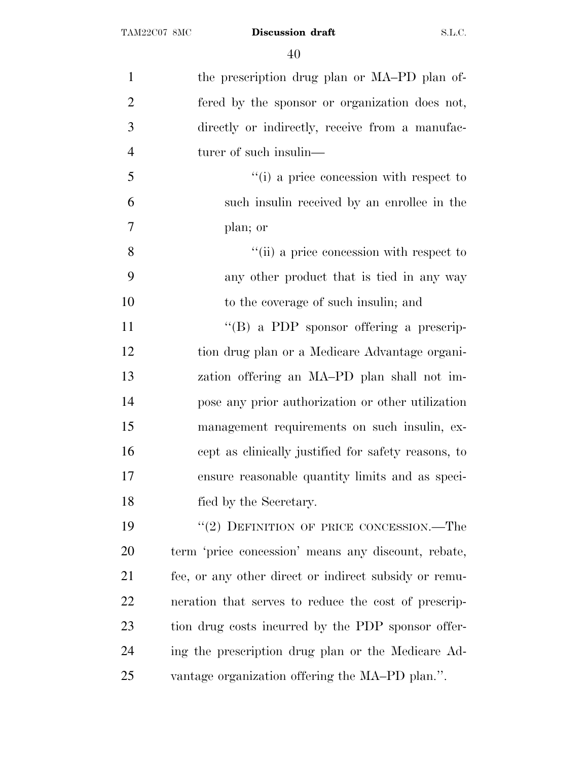| $\mathbf{1}$   | the prescription drug plan or MA-PD plan of-          |
|----------------|-------------------------------------------------------|
| $\overline{2}$ | fered by the sponsor or organization does not,        |
| 3              | directly or indirectly, receive from a manufac-       |
| $\overline{4}$ | turer of such insulin—                                |
| 5              | "(i) a price concession with respect to               |
| 6              | such insulin received by an enrollee in the           |
| 7              | plan; or                                              |
| 8              | "(ii) a price concession with respect to              |
| 9              | any other product that is tied in any way             |
| 10             | to the coverage of such insulin; and                  |
| 11             | $\lq\lq (B)$ a PDP sponsor offering a prescrip-       |
| 12             | tion drug plan or a Medicare Advantage organi-        |
| 13             | zation offering an MA-PD plan shall not im-           |
| 14             | pose any prior authorization or other utilization     |
| 15             | management requirements on such insulin, ex-          |
| 16             | cept as clinically justified for safety reasons, to   |
| 17             | ensure reasonable quantity limits and as speci-       |
| 18             | fied by the Secretary.                                |
| 19             | $``(2)$ DEFINITION OF PRICE CONCESSION.—The           |
| 20             | term 'price concession' means any discount, rebate,   |
| 21             | fee, or any other direct or indirect subsidy or remu- |
| 22             | neration that serves to reduce the cost of prescrip-  |
| 23             | tion drug costs incurred by the PDP sponsor offer-    |
| 24             | ing the prescription drug plan or the Medicare Ad-    |
| 25             | vantage organization offering the MA-PD plan.".       |